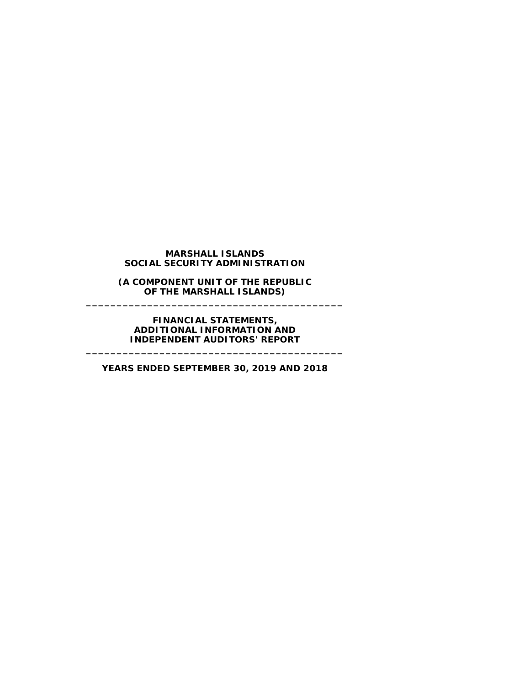## **MARSHALL ISLANDS SOCIAL SECURITY ADMINISTRATION**

**(A COMPONENT UNIT OF THE REPUBLIC OF THE MARSHALL ISLANDS) \_\_\_\_\_\_\_\_\_\_\_\_\_\_\_\_\_\_\_\_\_\_\_\_\_\_\_\_\_\_\_\_\_\_\_\_\_\_\_\_\_\_**

#### **FINANCIAL STATEMENTS, ADDITIONAL INFORMATION AND INDEPENDENT AUDITORS' REPORT**

**YEARS ENDED SEPTEMBER 30, 2019 AND 2018**

**\_\_\_\_\_\_\_\_\_\_\_\_\_\_\_\_\_\_\_\_\_\_\_\_\_\_\_\_\_\_\_\_\_\_\_\_\_\_\_\_\_\_**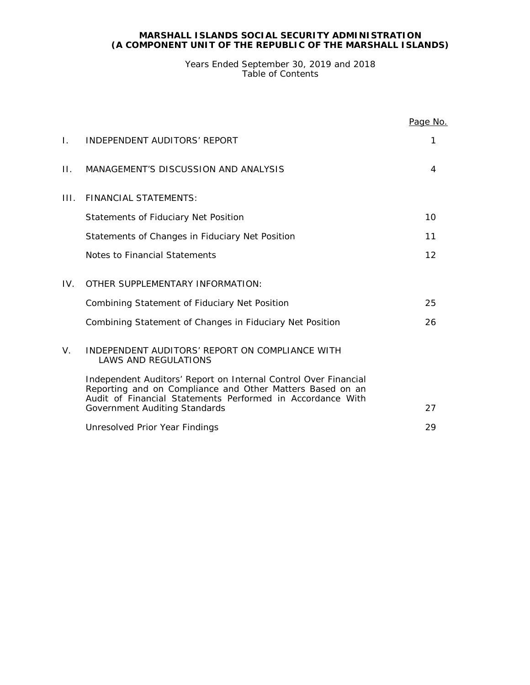# Years Ended September 30, 2019 and 2018 Table of Contents

|      |                                                                                                                                                                                                                             | Page No. |
|------|-----------------------------------------------------------------------------------------------------------------------------------------------------------------------------------------------------------------------------|----------|
| Ι.   | INDEPENDENT AUDITORS' REPORT                                                                                                                                                                                                | 1        |
| Н.   | MANAGEMENT'S DISCUSSION AND ANALYSIS                                                                                                                                                                                        | 4        |
| III. | <b>FINANCIAL STATEMENTS:</b>                                                                                                                                                                                                |          |
|      | Statements of Fiduciary Net Position                                                                                                                                                                                        | 10       |
|      | Statements of Changes in Fiduciary Net Position                                                                                                                                                                             | 11       |
|      | Notes to Financial Statements                                                                                                                                                                                               | 12       |
| IV.  | OTHER SUPPLEMENTARY INFORMATION:                                                                                                                                                                                            |          |
|      | Combining Statement of Fiduciary Net Position                                                                                                                                                                               | 25       |
|      | Combining Statement of Changes in Fiduciary Net Position                                                                                                                                                                    | 26       |
| V.   | <b>INDEPENDENT AUDITORS' REPORT ON COMPLIANCE WITH</b><br><b>LAWS AND REGULATIONS</b>                                                                                                                                       |          |
|      | Independent Auditors' Report on Internal Control Over Financial<br>Reporting and on Compliance and Other Matters Based on an<br>Audit of Financial Statements Performed in Accordance With<br>Government Auditing Standards | 27       |
|      | Unresolved Prior Year Findings                                                                                                                                                                                              | 29       |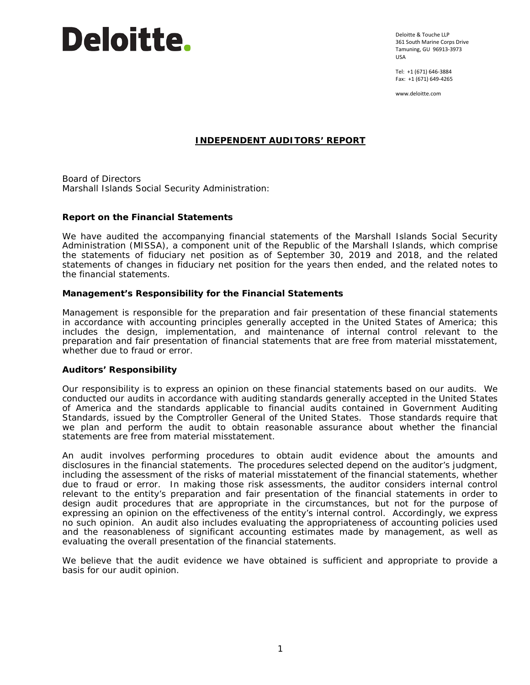

Deloitte & Touche LLP 361 South Marine Corps Drive Tamuning, GU 96913-3973 USA

Tel: +1 (671) 646-3884 Fax: +1 (671) 649-4265

www.deloitte.com

## **INDEPENDENT AUDITORS' REPORT**

Board of Directors Marshall Islands Social Security Administration:

## **Report on the Financial Statements**

We have audited the accompanying financial statements of the Marshall Islands Social Security Administration (MISSA), a component unit of the Republic of the Marshall Islands, which comprise the statements of fiduciary net position as of September 30, 2019 and 2018, and the related statements of changes in fiduciary net position for the years then ended, and the related notes to the financial statements.

## *Management's Responsibility for the Financial Statements*

Management is responsible for the preparation and fair presentation of these financial statements in accordance with accounting principles generally accepted in the United States of America; this includes the design, implementation, and maintenance of internal control relevant to the preparation and fair presentation of financial statements that are free from material misstatement, whether due to fraud or error.

## *Auditors' Responsibility*

Our responsibility is to express an opinion on these financial statements based on our audits. We conducted our audits in accordance with auditing standards generally accepted in the United States of America and the standards applicable to financial audits contained in *Government Auditing Standards*, issued by the Comptroller General of the United States. Those standards require that we plan and perform the audit to obtain reasonable assurance about whether the financial statements are free from material misstatement.

An audit involves performing procedures to obtain audit evidence about the amounts and disclosures in the financial statements. The procedures selected depend on the auditor's judgment, including the assessment of the risks of material misstatement of the financial statements, whether due to fraud or error. In making those risk assessments, the auditor considers internal control relevant to the entity's preparation and fair presentation of the financial statements in order to design audit procedures that are appropriate in the circumstances, but not for the purpose of expressing an opinion on the effectiveness of the entity's internal control. Accordingly, we express no such opinion. An audit also includes evaluating the appropriateness of accounting policies used and the reasonableness of significant accounting estimates made by management, as well as evaluating the overall presentation of the financial statements.

We believe that the audit evidence we have obtained is sufficient and appropriate to provide a basis for our audit opinion.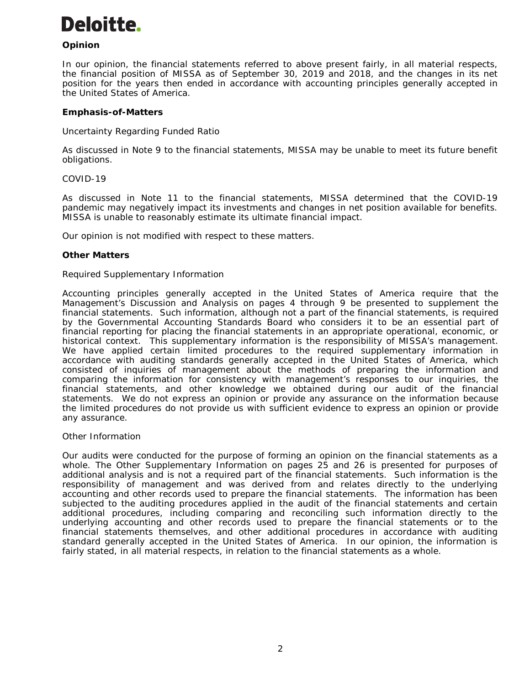# Deloitte.

# *Opinion*

In our opinion, the financial statements referred to above present fairly, in all material respects, the financial position of MISSA as of September 30, 2019 and 2018, and the changes in its net position for the years then ended in accordance with accounting principles generally accepted in the United States of America.

# *Emphasis-of-Matters*

## *Uncertainty Regarding Funded Ratio*

As discussed in Note 9 to the financial statements, MISSA may be unable to meet its future benefit obligations.

## *COVID-19*

As discussed in Note 11 to the financial statements, MISSA determined that the COVID-19 pandemic may negatively impact its investments and changes in net position available for benefits. MISSA is unable to reasonably estimate its ultimate financial impact.

Our opinion is not modified with respect to these matters.

## *Other Matters*

## *Required Supplementary Information*

Accounting principles generally accepted in the United States of America require that the Management's Discussion and Analysis on pages 4 through 9 be presented to supplement the financial statements. Such information, although not a part of the financial statements, is required by the Governmental Accounting Standards Board who considers it to be an essential part of financial reporting for placing the financial statements in an appropriate operational, economic, or historical context. This supplementary information is the responsibility of MISSA's management. We have applied certain limited procedures to the required supplementary information in accordance with auditing standards generally accepted in the United States of America, which consisted of inquiries of management about the methods of preparing the information and comparing the information for consistency with management's responses to our inquiries, the financial statements, and other knowledge we obtained during our audit of the financial statements. We do not express an opinion or provide any assurance on the information because the limited procedures do not provide us with sufficient evidence to express an opinion or provide any assurance.

## *Other Information*

Our audits were conducted for the purpose of forming an opinion on the financial statements as a whole. The Other Supplementary Information on pages 25 and 26 is presented for purposes of additional analysis and is not a required part of the financial statements. Such information is the responsibility of management and was derived from and relates directly to the underlying accounting and other records used to prepare the financial statements. The information has been subjected to the auditing procedures applied in the audit of the financial statements and certain additional procedures, including comparing and reconciling such information directly to the underlying accounting and other records used to prepare the financial statements or to the financial statements themselves, and other additional procedures in accordance with auditing standard generally accepted in the United States of America. In our opinion, the information is fairly stated, in all material respects, in relation to the financial statements as a whole.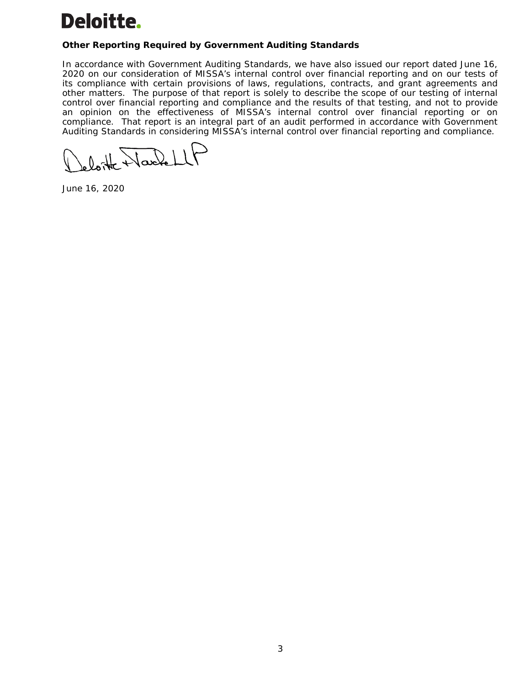# Deloitte.

# **Other Reporting Required by** *Government Auditing Standards*

In accordance with *Government Auditing Standards*, we have also issued our report dated June 16, 2020 on our consideration of MISSA's internal control over financial reporting and on our tests of its compliance with certain provisions of laws, regulations, contracts, and grant agreements and other matters. The purpose of that report is solely to describe the scope of our testing of internal control over financial reporting and compliance and the results of that testing, and not to provide an opinion on the effectiveness of MISSA's internal control over financial reporting or on compliance. That report is an integral part of an audit performed in accordance with *Government Auditing Standards* in considering MISSA's internal control over financial reporting and compliance.

 $\#$  Nackel

June 16, 2020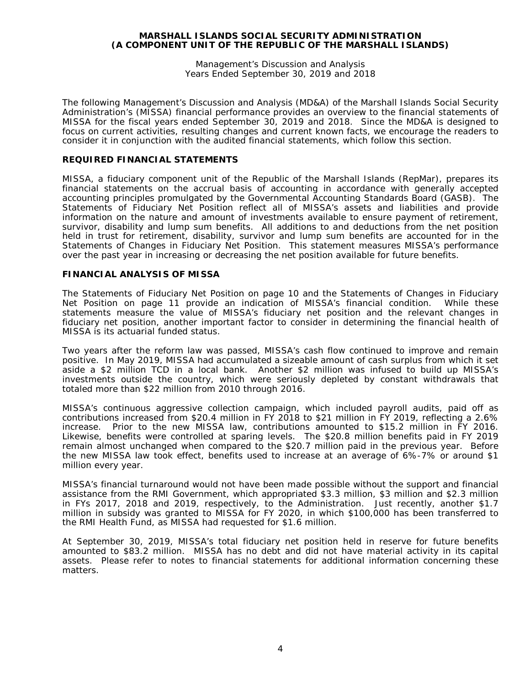Management's Discussion and Analysis Years Ended September 30, 2019 and 2018

The following Management's Discussion and Analysis (MD&A) of the Marshall Islands Social Security Administration's (MISSA) financial performance provides an overview to the financial statements of MISSA for the fiscal years ended September 30, 2019 and 2018. Since the MD&A is designed to focus on current activities, resulting changes and current known facts, we encourage the readers to consider it in conjunction with the audited financial statements, which follow this section.

## **REQUIRED FINANCIAL STATEMENTS**

MISSA, a fiduciary component unit of the Republic of the Marshall Islands (RepMar), prepares its financial statements on the accrual basis of accounting in accordance with generally accepted accounting principles promulgated by the Governmental Accounting Standards Board (GASB). The Statements of Fiduciary Net Position reflect all of MISSA's assets and liabilities and provide information on the nature and amount of investments available to ensure payment of retirement, survivor, disability and lump sum benefits. All additions to and deductions from the net position held in trust for retirement, disability, survivor and lump sum benefits are accounted for in the Statements of Changes in Fiduciary Net Position. This statement measures MISSA's performance over the past year in increasing or decreasing the net position available for future benefits.

## **FINANCIAL ANALYSIS OF MISSA**

The Statements of Fiduciary Net Position on page 10 and the Statements of Changes in Fiduciary Net Position on page 11 provide an indication of MISSA's financial condition. While these statements measure the value of MISSA's fiduciary net position and the relevant changes in fiduciary net position, another important factor to consider in determining the financial health of MISSA is its actuarial funded status.

Two years after the reform law was passed, MISSA's cash flow continued to improve and remain positive. In May 2019, MISSA had accumulated a sizeable amount of cash surplus from which it set aside a \$2 million TCD in a local bank. Another \$2 million was infused to build up MISSA's investments outside the country, which were seriously depleted by constant withdrawals that totaled more than \$22 million from 2010 through 2016.

MISSA's continuous aggressive collection campaign, which included payroll audits, paid off as contributions increased from \$20.4 million in FY 2018 to \$21 million in FY 2019, reflecting a 2.6% increase. Prior to the new MISSA law, contributions amounted to \$15.2 million in FY 2016. Likewise, benefits were controlled at sparing levels. The \$20.8 million benefits paid in FY 2019 remain almost unchanged when compared to the \$20.7 million paid in the previous year. Before the new MISSA law took effect, benefits used to increase at an average of 6%-7% or around \$1 million every year.

MISSA's financial turnaround would not have been made possible without the support and financial assistance from the RMI Government, which appropriated \$3.3 million, \$3 million and \$2.3 million in FYs 2017, 2018 and 2019, respectively, to the Administration. Just recently, another \$1.7 million in subsidy was granted to MISSA for FY 2020, in which \$100,000 has been transferred to the RMI Health Fund, as MISSA had requested for \$1.6 million.

At September 30, 2019, MISSA's total fiduciary net position held in reserve for future benefits amounted to \$83.2 million. MISSA has no debt and did not have material activity in its capital assets. Please refer to notes to financial statements for additional information concerning these matters.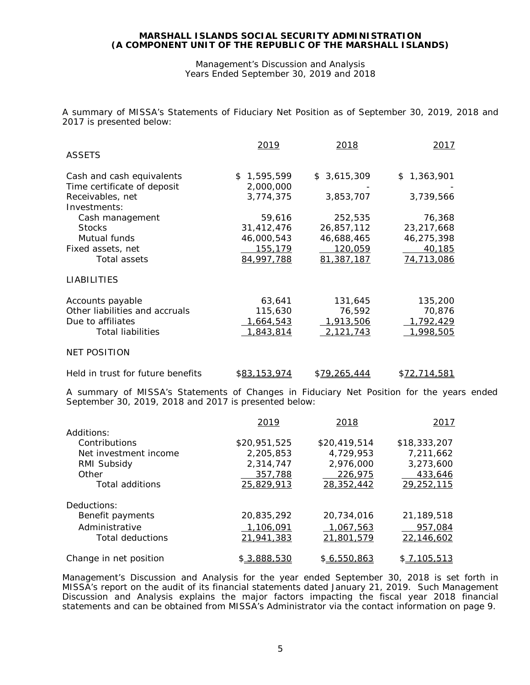Management's Discussion and Analysis Years Ended September 30, 2019 and 2018

A summary of MISSA's Statements of Fiduciary Net Position as of September 30, 2019, 2018 and 2017 is presented below:

|                                   | 2019         | 2018         | 2017             |
|-----------------------------------|--------------|--------------|------------------|
| <b>ASSETS</b>                     |              |              |                  |
| Cash and cash equivalents         | \$1,595,599  | \$3,615,309  | 1,363,901<br>\$  |
| Time certificate of deposit       | 2,000,000    |              |                  |
| Receivables, net                  | 3,774,375    | 3,853,707    | 3,739,566        |
| Investments:                      |              |              |                  |
| Cash management                   | 59,616       | 252,535      | 76,368           |
| <b>Stocks</b>                     | 31,412,476   | 26,857,112   | 23,217,668       |
| Mutual funds                      | 46,000,543   | 46,688,465   | 46,275,398       |
| Fixed assets, net                 | 155,179      | 120,059      | 40,185           |
| Total assets                      | 84,997,788   | 81,387,187   | 74,713,086       |
| <b>LIABILITIES</b>                |              |              |                  |
| Accounts payable                  | 63,641       | 131,645      | 135,200          |
| Other liabilities and accruals    | 115,630      | 76,592       | 70,876           |
| Due to affiliates                 | 1,664,543    | 1,913,506    | 1,792,429        |
| <b>Total liabilities</b>          | 1,843,814    | 2,121,743    | <u>1,998,505</u> |
| <b>NET POSITION</b>               |              |              |                  |
| Held in trust for future benefits | \$83,153,974 | \$79.265.444 | \$72.714.581     |

A summary of MISSA's Statements of Changes in Fiduciary Net Position for the years ended September 30, 2019, 2018 and 2017 is presented below:

|                        | 2019         | 2018         | 2017         |
|------------------------|--------------|--------------|--------------|
| Additions:             |              |              |              |
| Contributions          | \$20,951,525 | \$20,419,514 | \$18,333,207 |
| Net investment income  | 2.205.853    | 4.729.953    | 7.211.662    |
| RMI Subsidy            | 2.314.747    | 2.976.000    | 3.273.600    |
| Other                  | 357,788      | 226,975      | 433,646      |
| Total additions        | 25,829,913   | 28,352,442   | 29, 252, 115 |
| Deductions:            |              |              |              |
| Benefit payments       | 20,835,292   | 20.734.016   | 21.189.518   |
| Administrative         | 1.106.091    | 1,067,563    | 957.084      |
| Total deductions       | 21,941,383   | 21,801,579   | 22,146,602   |
| Change in net position | \$3.888.530  | \$6.550.863  | 05.513       |

Management's Discussion and Analysis for the year ended September 30, 2018 is set forth in MISSA's report on the audit of its financial statements dated January 21, 2019. Such Management Discussion and Analysis explains the major factors impacting the fiscal year 2018 financial statements and can be obtained from MISSA's Administrator via the contact information on page 9.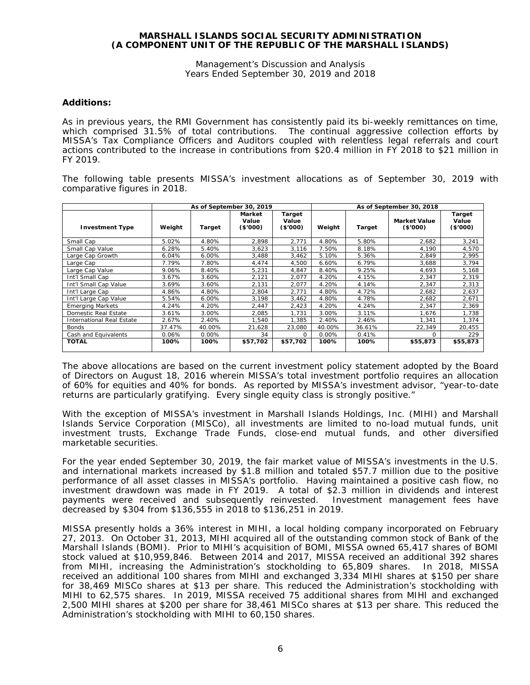Management's Discussion and Analysis Years Ended September 30, 2019 and 2018

## **Additions:**

As in previous years, the RMI Government has consistently paid its bi-weekly remittances on time, which comprised 31.5% of total contributions. The continual aggressive collection efforts by MISSA's Tax Compliance Officers and Auditors coupled with relentless legal referrals and court actions contributed to the increase in contributions from \$20.4 million in FY 2018 to \$21 million in FY 2019.

The following table presents MISSA's investment allocations as of September 30, 2019 with comparative figures in 2018.

|                                  |        |        | As of September 30, 2019    |                             | As of September 30, 2018 |        |                                 |                             |
|----------------------------------|--------|--------|-----------------------------|-----------------------------|--------------------------|--------|---------------------------------|-----------------------------|
| <b>Investment Type</b>           | Weight | Target | Market<br>Value<br>(\$'000) | Target<br>Value<br>(\$7000) | Weight                   | Target | <b>Market Value</b><br>(\$7000) | Target<br>Value<br>(\$'000) |
| Small Cap                        | 5.02%  | 4.80%  | 2,898                       | 2,771                       | 4.80%                    | 5.80%  | 2,682                           | 3,241                       |
| Small Cap Value                  | 6.28%  | 5.40%  | 3,623                       | 3,116                       | 7.50%                    | 8.18%  | 4,190                           | 4,570                       |
| Large Cap Growth                 | 6.04%  | 6.00%  | 3,488                       | 3,462                       | 5.10%                    | 5.36%  | 2,849                           | 2,995                       |
| Large Cap                        | 7.79%  | 7.80%  | 4,474                       | 4,500                       | 6.60%                    | 6.79%  | 3,688                           | 3,794                       |
| Large Cap Value                  | 9.06%  | 8.40%  | 5,231                       | 4,847                       | 8.40%                    | 9.25%  | 4,693                           | 5,168                       |
| Int'l Small Cap                  | 3.67%  | 3.60%  | 2,121                       | 2,077                       | 4.20%                    | 4.15%  | 2,347                           | 2,319                       |
| Int'l Small Cap Value            | 3.69%  | 3.60%  | 2,131                       | 2,077                       | 4.20%                    | 4.14%  | 2,347                           | 2,313                       |
| Int'l Large Cap                  | 4.86%  | 4.80%  | 2,804                       | 2,771                       | 4.80%                    | 4.72%  | 2,682                           | 2,637                       |
| Int'l Large Cap Value            | 5.54%  | 6.00%  | 3,198                       | 3,462                       | 4.80%                    | 4.78%  | 2,682                           | 2,671                       |
| <b>Emerging Markets</b>          | 4.24%  | 4.20%  | 2,447                       | 2,423                       | 4.20%                    | 4.24%  | 2,347                           | 2,369                       |
| Domestic Real Estate             | 3.61%  | 3.00%  | 2,085                       | 1.731                       | 3.00%                    | 3.11%  | 1.676                           | 1,738                       |
| <b>International Real Estate</b> | 2.67%  | 2.40%  | 1.540                       | 1.385                       | 2.40%                    | 2.46%  | 1.341                           | 1,374                       |
| <b>Bonds</b>                     | 37.47% | 40.00% | 21,628                      | 23,080                      | 40.00%                   | 36.61% | 22,349                          | 20,455                      |
| Cash and Equivalents             | 0.06%  | 0.00%  | 34                          | O                           | 0.00%                    | 0.41%  | $\Omega$                        | 229                         |
| <b>TOTAL</b>                     | 100%   | 100%   | \$57,702                    | \$57,702                    | 100%                     | 100%   | \$55,873                        | \$55,873                    |

The above allocations are based on the current investment policy statement adopted by the Board of Directors on August 18, 2016 wherein MISSA's total investment portfolio requires an allocation of 60% for equities and 40% for bonds. As reported by MISSA's investment advisor, "year-to-date returns are particularly gratifying. Every single equity class is strongly positive."

With the exception of MISSA's investment in Marshall Islands Holdings, Inc. (MIHI) and Marshall Islands Service Corporation (MISCo), all investments are limited to no-load mutual funds, unit investment trusts, Exchange Trade Funds, close-end mutual funds, and other diversified marketable securities.

For the year ended September 30, 2019, the fair market value of MISSA's investments in the U.S. and international markets increased by \$1.8 million and totaled \$57.7 million due to the positive performance of all asset classes in MISSA's portfolio. Having maintained a positive cash flow, no investment drawdown was made in FY 2019. A total of \$2.3 million in dividends and interest payments were received and subsequently reinvested. Investment management fees have decreased by \$304 from \$136,555 in 2018 to \$136,251 in 2019.

MISSA presently holds a 36% interest in MIHI, a local holding company incorporated on February 27, 2013. On October 31, 2013, MIHI acquired all of the outstanding common stock of Bank of the Marshall Islands (BOMI). Prior to MIHI's acquisition of BOMI, MISSA owned 65,417 shares of BOMI stock valued at \$10,959,846. Between 2014 and 2017, MISSA received an additional 392 shares from MIHI, increasing the Administration's stockholding to 65,809 shares. In 2018, MISSA received an additional 100 shares from MIHI and exchanged 3,334 MIHI shares at \$150 per share for 38,469 MISCo shares at \$13 per share. This reduced the Administration's stockholding with MIHI to 62,575 shares. In 2019, MISSA received 75 additional shares from MIHI and exchanged 2,500 MIHI shares at \$200 per share for 38,461 MISCo shares at \$13 per share. This reduced the Administration's stockholding with MIHI to 60,150 shares.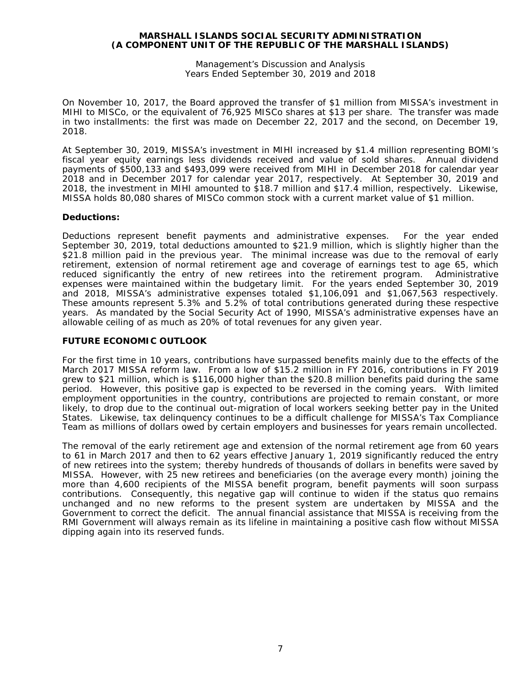Management's Discussion and Analysis Years Ended September 30, 2019 and 2018

On November 10, 2017, the Board approved the transfer of \$1 million from MISSA's investment in MIHI to MISCo, or the equivalent of 76,925 MISCo shares at \$13 per share. The transfer was made in two installments: the first was made on December 22, 2017 and the second, on December 19, 2018.

At September 30, 2019, MISSA's investment in MIHI increased by \$1.4 million representing BOMI's fiscal year equity earnings less dividends received and value of sold shares. Annual dividend payments of \$500,133 and \$493,099 were received from MIHI in December 2018 for calendar year 2018 and in December 2017 for calendar year 2017, respectively. At September 30, 2019 and 2018, the investment in MIHI amounted to \$18.7 million and \$17.4 million, respectively. Likewise, MISSA holds 80,080 shares of MISCo common stock with a current market value of \$1 million.

## **Deductions:**

Deductions represent benefit payments and administrative expenses. For the year ended September 30, 2019, total deductions amounted to \$21.9 million, which is slightly higher than the \$21.8 million paid in the previous year. The minimal increase was due to the removal of early retirement, extension of normal retirement age and coverage of earnings test to age 65, which reduced significantly the entry of new retirees into the retirement program. Administrative expenses were maintained within the budgetary limit. For the years ended September 30, 2019 and 2018, MISSA's administrative expenses totaled \$1,106,091 and \$1,067,563 respectively. These amounts represent 5.3% and 5.2% of total contributions generated during these respective years. As mandated by the Social Security Act of 1990, MISSA's administrative expenses have an allowable ceiling of as much as 20% of total revenues for any given year.

## **FUTURE ECONOMIC OUTLOOK**

For the first time in 10 years, contributions have surpassed benefits mainly due to the effects of the March 2017 MISSA reform law. From a low of \$15.2 million in FY 2016, contributions in FY 2019 grew to \$21 million, which is \$116,000 higher than the \$20.8 million benefits paid during the same period. However, this positive gap is expected to be reversed in the coming years. With limited employment opportunities in the country, contributions are projected to remain constant, or more likely, to drop due to the continual out-migration of local workers seeking better pay in the United States. Likewise, tax delinquency continues to be a difficult challenge for MISSA's Tax Compliance Team as millions of dollars owed by certain employers and businesses for years remain uncollected.

The removal of the early retirement age and extension of the normal retirement age from 60 years to 61 in March 2017 and then to 62 years effective January 1, 2019 significantly reduced the entry of new retirees into the system; thereby hundreds of thousands of dollars in benefits were saved by MISSA. However, with 25 new retirees and beneficiaries (on the average every month) joining the more than 4,600 recipients of the MISSA benefit program, benefit payments will soon surpass contributions. Consequently, this negative gap will continue to widen if the status quo remains unchanged and no new reforms to the present system are undertaken by MISSA and the Government to correct the deficit. The annual financial assistance that MISSA is receiving from the RMI Government will always remain as its lifeline in maintaining a positive cash flow without MISSA dipping again into its reserved funds.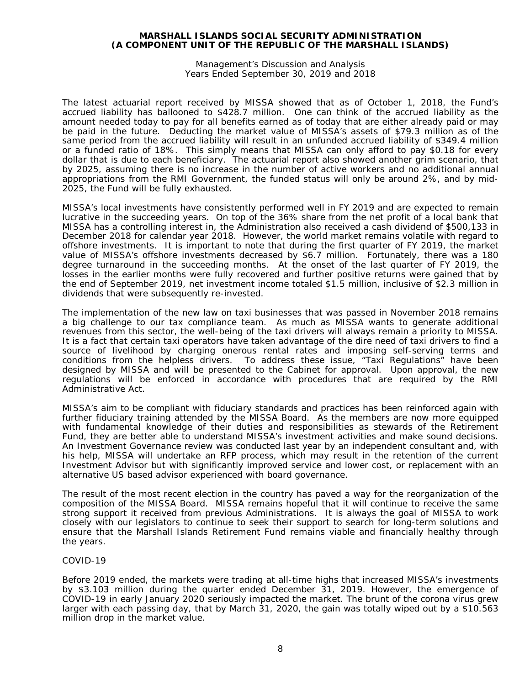Management's Discussion and Analysis Years Ended September 30, 2019 and 2018

The latest actuarial report received by MISSA showed that as of October 1, 2018, the Fund's accrued liability has ballooned to \$428.7 million. One can think of the accrued liability as the amount needed today to pay for all benefits earned as of today that are either already paid or may be paid in the future. Deducting the market value of MISSA's assets of \$79.3 million as of the same period from the accrued liability will result in an unfunded accrued liability of \$349.4 million or a funded ratio of 18%. This simply means that MISSA can only afford to pay \$0.18 for every dollar that is due to each beneficiary. The actuarial report also showed another grim scenario, that by 2025, assuming there is no increase in the number of active workers and no additional annual appropriations from the RMI Government, the funded status will only be around 2%, and by mid-2025, the Fund will be fully exhausted.

MISSA's local investments have consistently performed well in FY 2019 and are expected to remain lucrative in the succeeding years. On top of the 36% share from the net profit of a local bank that MISSA has a controlling interest in, the Administration also received a cash dividend of \$500,133 in December 2018 for calendar year 2018. However, the world market remains volatile with regard to offshore investments. It is important to note that during the first quarter of FY 2019, the market value of MISSA's offshore investments decreased by \$6.7 million. Fortunately, there was a 180 degree turnaround in the succeeding months. At the onset of the last quarter of FY 2019, the losses in the earlier months were fully recovered and further positive returns were gained that by the end of September 2019, net investment income totaled \$1.5 million, inclusive of \$2.3 million in dividends that were subsequently re-invested.

The implementation of the new law on taxi businesses that was passed in November 2018 remains a big challenge to our tax compliance team. As much as MISSA wants to generate additional revenues from this sector, the well-being of the taxi drivers will always remain a priority to MISSA. It is a fact that certain taxi operators have taken advantage of the dire need of taxi drivers to find a source of livelihood by charging onerous rental rates and imposing self-serving terms and conditions from the helpless drivers. To address these issue, "Taxi Regulations" have been designed by MISSA and will be presented to the Cabinet for approval. Upon approval, the new regulations will be enforced in accordance with procedures that are required by the RMI Administrative Act.

MISSA's aim to be compliant with fiduciary standards and practices has been reinforced again with further fiduciary training attended by the MISSA Board. As the members are now more equipped with fundamental knowledge of their duties and responsibilities as stewards of the Retirement Fund, they are better able to understand MISSA's investment activities and make sound decisions. An Investment Governance review was conducted last year by an independent consultant and, with his help, MISSA will undertake an RFP process, which may result in the retention of the current Investment Advisor but with significantly improved service and lower cost, or replacement with an alternative US based advisor experienced with board governance.

The result of the most recent election in the country has paved a way for the reorganization of the composition of the MISSA Board. MISSA remains hopeful that it will continue to receive the same strong support it received from previous Administrations. It is always the goal of MISSA to work closely with our legislators to continue to seek their support to search for long-term solutions and ensure that the Marshall Islands Retirement Fund remains viable and financially healthy through the years.

#### COVID-19

Before 2019 ended, the markets were trading at all-time highs that increased MISSA's investments by \$3.103 million during the quarter ended December 31, 2019. However, the emergence of COVID-19 in early January 2020 seriously impacted the market. The brunt of the corona virus grew larger with each passing day, that by March 31, 2020, the gain was totally wiped out by a \$10.563 million drop in the market value.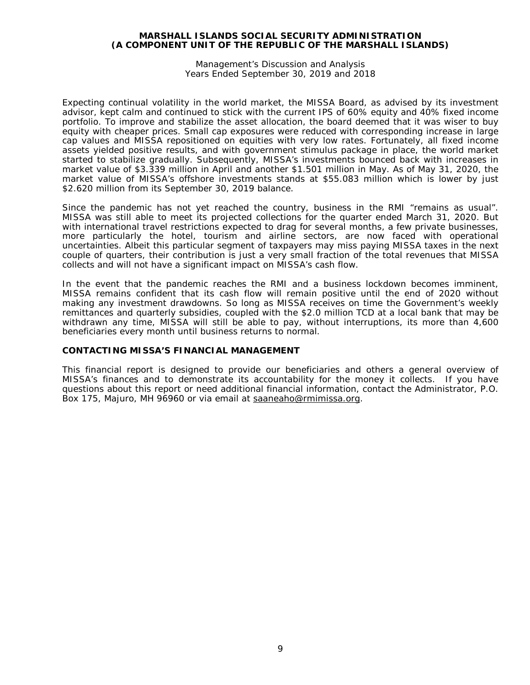Management's Discussion and Analysis Years Ended September 30, 2019 and 2018

Expecting continual volatility in the world market, the MISSA Board, as advised by its investment advisor, kept calm and continued to stick with the current IPS of 60% equity and 40% fixed income portfolio. To improve and stabilize the asset allocation, the board deemed that it was wiser to buy equity with cheaper prices. Small cap exposures were reduced with corresponding increase in large cap values and MISSA repositioned on equities with very low rates. Fortunately, all fixed income assets yielded positive results, and with government stimulus package in place, the world market started to stabilize gradually. Subsequently, MISSA's investments bounced back with increases in market value of \$3.339 million in April and another \$1.501 million in May. As of May 31, 2020, the market value of MISSA's offshore investments stands at \$55.083 million which is lower by just \$2.620 million from its September 30, 2019 balance.

Since the pandemic has not yet reached the country, business in the RMI "remains as usual". MISSA was still able to meet its projected collections for the quarter ended March 31, 2020. But with international travel restrictions expected to drag for several months, a few private businesses, more particularly the hotel, tourism and airline sectors, are now faced with operational uncertainties. Albeit this particular segment of taxpayers may miss paying MISSA taxes in the next couple of quarters, their contribution is just a very small fraction of the total revenues that MISSA collects and will not have a significant impact on MISSA's cash flow.

In the event that the pandemic reaches the RMI and a business lockdown becomes imminent, MISSA remains confident that its cash flow will remain positive until the end of 2020 without making any investment drawdowns. So long as MISSA receives on time the Government's weekly remittances and quarterly subsidies, coupled with the \$2.0 million TCD at a local bank that may be withdrawn any time, MISSA will still be able to pay, without interruptions, its more than 4,600 beneficiaries every month until business returns to normal.

## **CONTACTING MISSA'S FINANCIAL MANAGEMENT**

This financial report is designed to provide our beneficiaries and others a general overview of MISSA's finances and to demonstrate its accountability for the money it collects. If you have questions about this report or need additional financial information, contact the Administrator, P.O. Box 175, Majuro, MH 96960 or via email at [saaneaho@rmimissa.org.](mailto:saaneaho@rmimissa.org)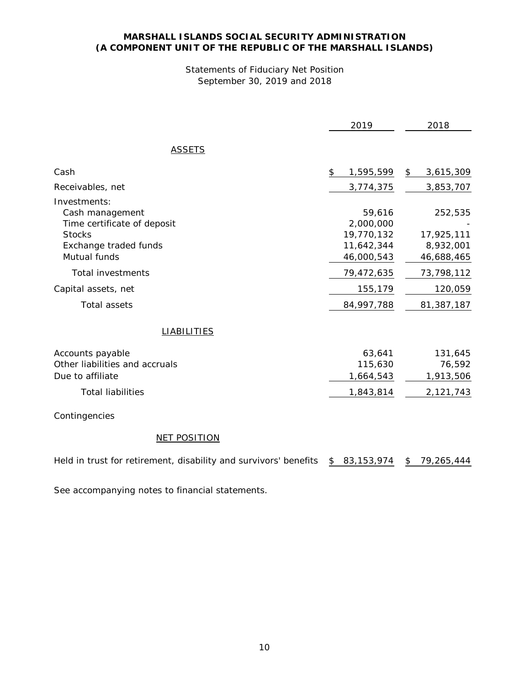# Statements of Fiduciary Net Position September 30, 2019 and 2018

|                                                                                                                                                      | 2019                                                                        | 2018                                                           |
|------------------------------------------------------------------------------------------------------------------------------------------------------|-----------------------------------------------------------------------------|----------------------------------------------------------------|
| <b>ASSETS</b>                                                                                                                                        |                                                                             |                                                                |
| Cash                                                                                                                                                 | 1,595,599<br>\$                                                             | 3,615,309<br>\$                                                |
| Receivables, net                                                                                                                                     | 3,774,375                                                                   | 3,853,707                                                      |
| Investments:<br>Cash management<br>Time certificate of deposit<br><b>Stocks</b><br>Exchange traded funds<br>Mutual funds<br><b>Total investments</b> | 59,616<br>2,000,000<br>19,770,132<br>11,642,344<br>46,000,543<br>79,472,635 | 252,535<br>17,925,111<br>8,932,001<br>46,688,465<br>73,798,112 |
| Capital assets, net                                                                                                                                  | 155,179                                                                     | 120,059                                                        |
| <b>Total assets</b>                                                                                                                                  | 84, 997, 788                                                                | 81,387,187                                                     |
| <b>LIABILITIES</b>                                                                                                                                   |                                                                             |                                                                |
| Accounts payable<br>Other liabilities and accruals<br>Due to affiliate<br><b>Total liabilities</b>                                                   | 63,641<br>115,630<br>1,664,543<br>1,843,814                                 | 131,645<br>76,592<br>1,913,506<br>2,121,743                    |
| Contingencies                                                                                                                                        |                                                                             |                                                                |
| <b>NET POSITION</b>                                                                                                                                  |                                                                             |                                                                |
| Held in trust for retirement, disability and survivors' benefits                                                                                     | 83, 153, 974<br>\$                                                          | 79,265,444<br>\$                                               |

See accompanying notes to financial statements.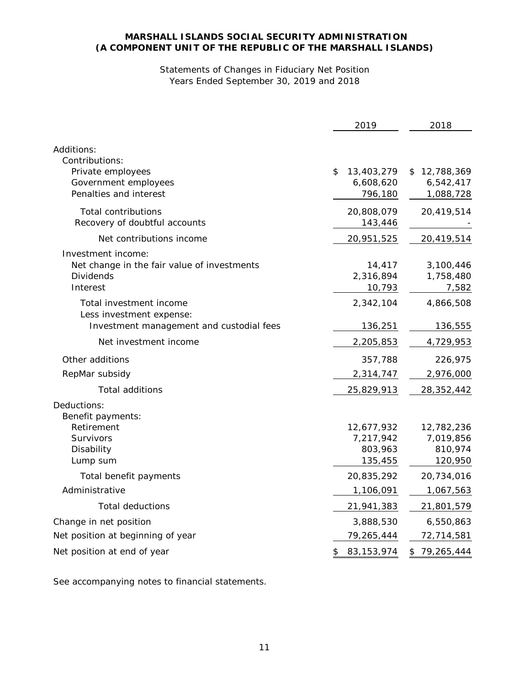# Statements of Changes in Fiduciary Net Position Years Ended September 30, 2019 and 2018

|                                                                                                   | 2019                                          | 2018                                          |
|---------------------------------------------------------------------------------------------------|-----------------------------------------------|-----------------------------------------------|
| Additions:<br>Contributions:                                                                      |                                               |                                               |
| Private employees<br>Government employees<br>Penalties and interest                               | \$<br>13,403,279<br>6,608,620<br>796,180      | \$<br>12,788,369<br>6,542,417<br>1,088,728    |
| <b>Total contributions</b><br>Recovery of doubtful accounts                                       | 20,808,079<br>143,446                         | 20,419,514                                    |
| Net contributions income                                                                          | 20,951,525                                    | 20,419,514                                    |
| Investment income:<br>Net change in the fair value of investments<br><b>Dividends</b><br>Interest | 14,417<br>2,316,894<br>10,793                 | 3,100,446<br>1,758,480<br>7,582               |
| Total investment income<br>Less investment expense:<br>Investment management and custodial fees   | 2,342,104<br>136,251                          | 4,866,508<br>136,555                          |
| Net investment income                                                                             | 2,205,853                                     | 4,729,953                                     |
| Other additions                                                                                   | 357,788                                       | 226,975                                       |
| RepMar subsidy                                                                                    | 2,314,747                                     | 2,976,000                                     |
| <b>Total additions</b>                                                                            | 25,829,913                                    | 28,352,442                                    |
| Deductions:<br>Benefit payments:                                                                  |                                               |                                               |
| Retirement<br>Survivors<br>Disability<br>Lump sum                                                 | 12,677,932<br>7,217,942<br>803,963<br>135,455 | 12,782,236<br>7,019,856<br>810,974<br>120,950 |
| Total benefit payments                                                                            | 20,835,292                                    | 20,734,016                                    |
| Administrative                                                                                    | 1,106,091                                     | 1,067,563                                     |
| <b>Total deductions</b>                                                                           | 21,941,383                                    | 21,801,579                                    |
| Change in net position                                                                            | 3,888,530                                     | 6,550,863                                     |
| Net position at beginning of year                                                                 | 79,265,444                                    | 72,714,581                                    |
| Net position at end of year                                                                       | \$<br>83, 153, 974                            | \$<br>79,265,444                              |

See accompanying notes to financial statements.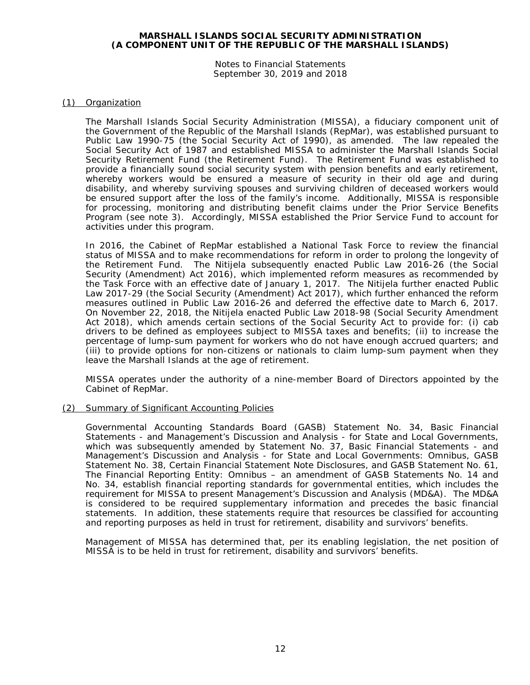Notes to Financial Statements September 30, 2019 and 2018

## (1) Organization

The Marshall Islands Social Security Administration (MISSA), a fiduciary component unit of the Government of the Republic of the Marshall Islands (RepMar), was established pursuant to Public Law 1990-75 (the Social Security Act of 1990), as amended. The law repealed the Social Security Act of 1987 and established MISSA to administer the Marshall Islands Social Security Retirement Fund (the Retirement Fund). The Retirement Fund was established to provide a financially sound social security system with pension benefits and early retirement, whereby workers would be ensured a measure of security in their old age and during disability, and whereby surviving spouses and surviving children of deceased workers would be ensured support after the loss of the family's income. Additionally, MISSA is responsible for processing, monitoring and distributing benefit claims under the Prior Service Benefits Program (see note 3). Accordingly, MISSA established the Prior Service Fund to account for activities under this program.

In 2016, the Cabinet of RepMar established a National Task Force to review the financial status of MISSA and to make recommendations for reform in order to prolong the longevity of the Retirement Fund. The Nitijela subsequently enacted Public Law 2016-26 (the Social Security (Amendment) Act 2016), which implemented reform measures as recommended by the Task Force with an effective date of January 1, 2017. The Nitijela further enacted Public Law 2017-29 (the Social Security (Amendment) Act 2017), which further enhanced the reform measures outlined in Public Law 2016-26 and deferred the effective date to March 6, 2017. On November 22, 2018, the Nitijela enacted Public Law 2018-98 (Social Security Amendment Act 2018), which amends certain sections of the Social Security Act to provide for: (i) cab drivers to be defined as employees subject to MISSA taxes and benefits; (ii) to increase the percentage of lump-sum payment for workers who do not have enough accrued quarters; and (iii) to provide options for non-citizens or nationals to claim lump-sum payment when they leave the Marshall Islands at the age of retirement.

MISSA operates under the authority of a nine-member Board of Directors appointed by the Cabinet of RepMar.

## (2) Summary of Significant Accounting Policies

Governmental Accounting Standards Board (GASB) Statement No. 34, *Basic Financial Statements - and Management's Discussion and Analysis - for State and Local Governments*, which was subsequently amended by Statement No. 37, *Basic Financial Statements - and Management's Discussion and Analysis - for State and Local Governments: Omnibus*, GASB Statement No. 38, *Certain Financial Statement Note Disclosures,* and GASB Statement No. 61, *The Financial Reporting Entity: Omnibus – an amendment of GASB Statements No. 14 and No. 34*, establish financial reporting standards for governmental entities, which includes the requirement for MISSA to present Management's Discussion and Analysis (MD&A). The MD&A is considered to be required supplementary information and precedes the basic financial statements. In addition, these statements require that resources be classified for accounting and reporting purposes as held in trust for retirement, disability and survivors' benefits.

Management of MISSA has determined that, per its enabling legislation, the net position of MISSA is to be held in trust for retirement, disability and survivors' benefits.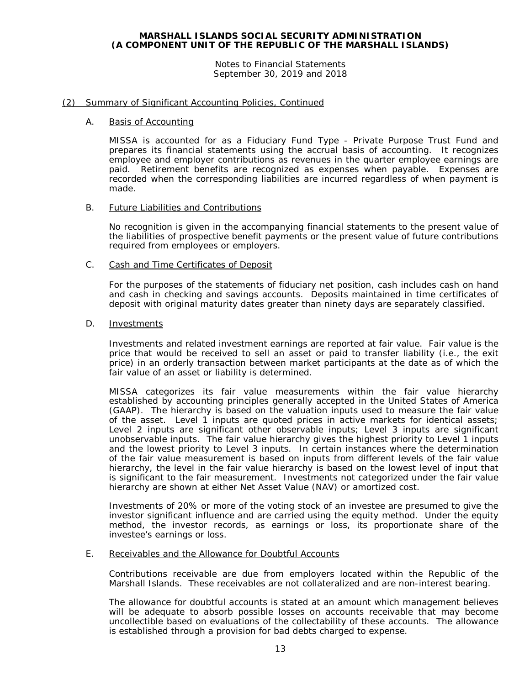Notes to Financial Statements September 30, 2019 and 2018

## (2) Summary of Significant Accounting Policies, Continued

## A. Basis of Accounting

MISSA is accounted for as a Fiduciary Fund Type - Private Purpose Trust Fund and prepares its financial statements using the accrual basis of accounting. It recognizes employee and employer contributions as revenues in the quarter employee earnings are paid. Retirement benefits are recognized as expenses when payable. Expenses are recorded when the corresponding liabilities are incurred regardless of when payment is made.

## B. Future Liabilities and Contributions

No recognition is given in the accompanying financial statements to the present value of the liabilities of prospective benefit payments or the present value of future contributions required from employees or employers.

## C. Cash and Time Certificates of Deposit

For the purposes of the statements of fiduciary net position, cash includes cash on hand and cash in checking and savings accounts. Deposits maintained in time certificates of deposit with original maturity dates greater than ninety days are separately classified.

## D. Investments

Investments and related investment earnings are reported at fair value. Fair value is the price that would be received to sell an asset or paid to transfer liability (i.e., the exit price) in an orderly transaction between market participants at the date as of which the fair value of an asset or liability is determined.

MISSA categorizes its fair value measurements within the fair value hierarchy established by accounting principles generally accepted in the United States of America (GAAP). The hierarchy is based on the valuation inputs used to measure the fair value of the asset. Level 1 inputs are quoted prices in active markets for identical assets; Level 2 inputs are significant other observable inputs; Level 3 inputs are significant unobservable inputs. The fair value hierarchy gives the highest priority to Level 1 inputs and the lowest priority to Level 3 inputs. In certain instances where the determination of the fair value measurement is based on inputs from different levels of the fair value hierarchy, the level in the fair value hierarchy is based on the lowest level of input that is significant to the fair measurement. Investments not categorized under the fair value hierarchy are shown at either Net Asset Value (NAV) or amortized cost.

Investments of 20% or more of the voting stock of an investee are presumed to give the investor significant influence and are carried using the equity method. Under the equity method, the investor records, as earnings or loss, its proportionate share of the investee's earnings or loss.

## E. Receivables and the Allowance for Doubtful Accounts

Contributions receivable are due from employers located within the Republic of the Marshall Islands. These receivables are not collateralized and are non-interest bearing.

The allowance for doubtful accounts is stated at an amount which management believes will be adequate to absorb possible losses on accounts receivable that may become uncollectible based on evaluations of the collectability of these accounts. The allowance is established through a provision for bad debts charged to expense.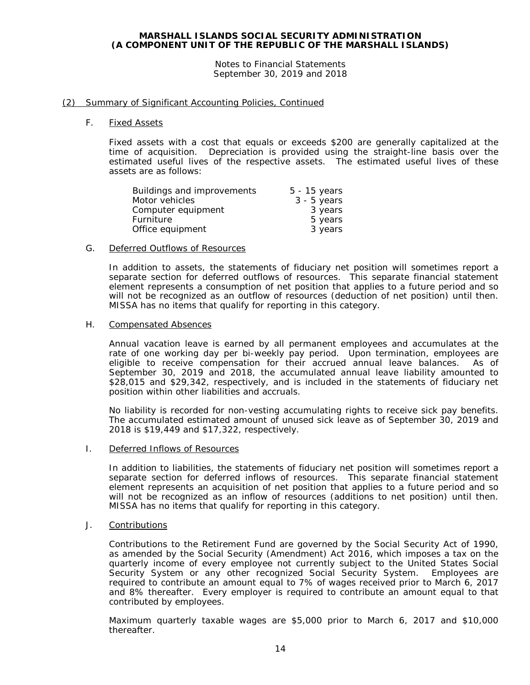Notes to Financial Statements September 30, 2019 and 2018

## (2) Summary of Significant Accounting Policies, Continued

#### F. Fixed Assets

Fixed assets with a cost that equals or exceeds \$200 are generally capitalized at the time of acquisition. Depreciation is provided using the straight-line basis over the estimated useful lives of the respective assets. The estimated useful lives of these assets are as follows:

| Buildings and improvements | 5 - 15 years  |
|----------------------------|---------------|
| Motor vehicles             | $3 - 5$ years |
| Computer equipment         | 3 years       |
| Furniture                  | 5 years       |
| Office equipment           | 3 years       |

#### G. Deferred Outflows of Resources

In addition to assets, the statements of fiduciary net position will sometimes report a separate section for deferred outflows of resources. This separate financial statement element represents a consumption of net position that applies to a future period and so will not be recognized as an outflow of resources (deduction of net position) until then. MISSA has no items that qualify for reporting in this category.

#### H. Compensated Absences

Annual vacation leave is earned by all permanent employees and accumulates at the rate of one working day per bi-weekly pay period. Upon termination, employees are eligible to receive compensation for their accrued annual leave balances. As of September 30, 2019 and 2018, the accumulated annual leave liability amounted to \$28,015 and \$29,342, respectively, and is included in the statements of fiduciary net position within other liabilities and accruals.

No liability is recorded for non-vesting accumulating rights to receive sick pay benefits. The accumulated estimated amount of unused sick leave as of September 30, 2019 and 2018 is \$19,449 and \$17,322, respectively.

## I. Deferred Inflows of Resources

In addition to liabilities, the statements of fiduciary net position will sometimes report a separate section for deferred inflows of resources. This separate financial statement element represents an acquisition of net position that applies to a future period and so will not be recognized as an inflow of resources (additions to net position) until then. MISSA has no items that qualify for reporting in this category.

#### J. Contributions

Contributions to the Retirement Fund are governed by the Social Security Act of 1990, as amended by the Social Security (Amendment) Act 2016, which imposes a tax on the quarterly income of every employee not currently subject to the United States Social Security System or any other recognized Social Security System. Employees are required to contribute an amount equal to 7% of wages received prior to March 6, 2017 and 8% thereafter. Every employer is required to contribute an amount equal to that contributed by employees.

Maximum quarterly taxable wages are \$5,000 prior to March 6, 2017 and \$10,000 thereafter.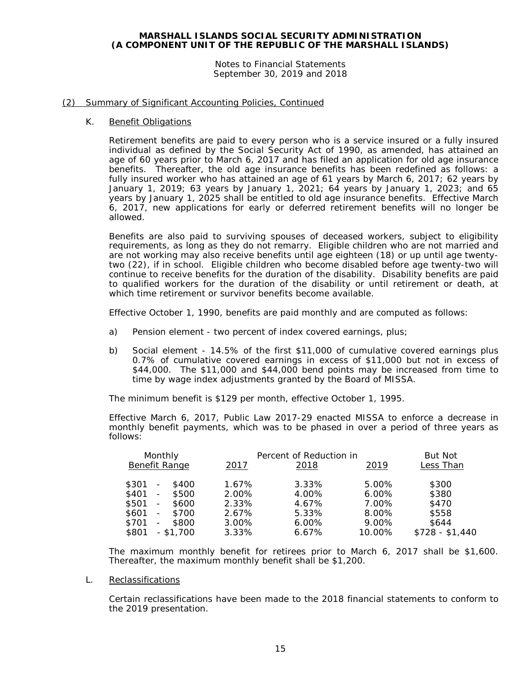Notes to Financial Statements September 30, 2019 and 2018

## (2) Summary of Significant Accounting Policies, Continued

#### K. Benefit Obligations

Retirement benefits are paid to every person who is a service insured or a fully insured individual as defined by the Social Security Act of 1990, as amended, has attained an age of 60 years prior to March 6, 2017 and has filed an application for old age insurance benefits. Thereafter, the old age insurance benefits has been redefined as follows: a fully insured worker who has attained an age of 61 years by March 6, 2017; 62 years by January 1, 2019; 63 years by January 1, 2021; 64 years by January 1, 2023; and 65 years by January 1, 2025 shall be entitled to old age insurance benefits. Effective March 6, 2017, new applications for early or deferred retirement benefits will no longer be allowed.

Benefits are also paid to surviving spouses of deceased workers, subject to eligibility requirements, as long as they do not remarry. Eligible children who are not married and are not working may also receive benefits until age eighteen (18) or up until age twentytwo (22), if in school. Eligible children who become disabled before age twenty-two will continue to receive benefits for the duration of the disability. Disability benefits are paid to qualified workers for the duration of the disability or until retirement or death, at which time retirement or survivor benefits become available.

Effective October 1, 1990, benefits are paid monthly and are computed as follows:

- a) Pension element two percent of index covered earnings, plus;
- b) Social element 14.5% of the first \$11,000 of cumulative covered earnings plus 0.7% of cumulative covered earnings in excess of \$11,000 but not in excess of \$44,000. The \$11,000 and \$44,000 bend points may be increased from time to time by wage index adjustments granted by the Board of MISSA.

The minimum benefit is \$129 per month, effective October 1, 1995.

Effective March 6, 2017, Public Law 2017-29 enacted MISSA to enforce a decrease in monthly benefit payments, which was to be phased in over a period of three years as follows:

| Benefit Range | Monthly                  |             | 2017     | Percent of Reduction in<br>2018 | 2019     | <b>But Not</b><br>Less Than |
|---------------|--------------------------|-------------|----------|---------------------------------|----------|-----------------------------|
| \$301         | $\overline{\phantom{a}}$ | \$400       | 1.67%    | 3.33%                           | 5.00%    | \$300                       |
| \$401         | $\overline{\phantom{a}}$ | \$500       | 2.00%    | 4.00%                           | $6.00\%$ | \$380                       |
| \$501         | $\blacksquare$           | \$600       | 2.33%    | 4.67%                           | 7.00%    | \$470                       |
| \$601         | $\overline{\phantom{a}}$ | \$700       | 2.67%    | 5.33%                           | 8.00%    | \$558                       |
| \$701         | $\overline{\phantom{a}}$ | \$800       | $3.00\%$ | $6.00\%$                        | 9.00%    | \$644                       |
| \$801         |                          | $-$ \$1,700 | 3.33%    | 6.67%                           | 10.00%   | $$728 - $1,440$             |

The maximum monthly benefit for retirees prior to March 6, 2017 shall be \$1,600. Thereafter, the maximum monthly benefit shall be \$1,200.

## L. Reclassifications

Certain reclassifications have been made to the 2018 financial statements to conform to the 2019 presentation.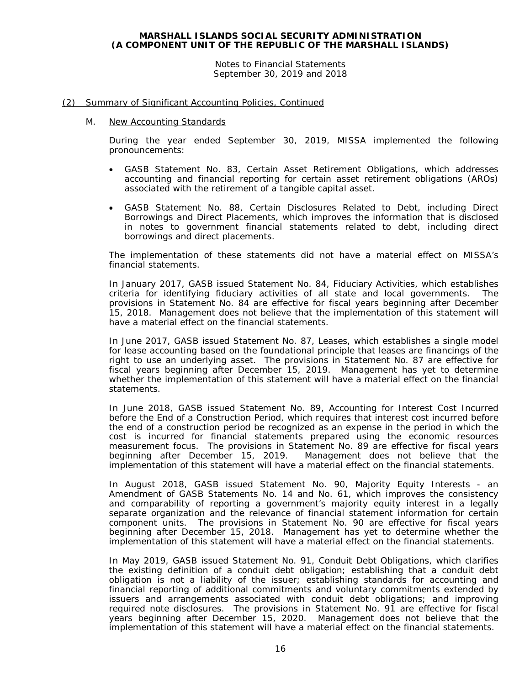Notes to Financial Statements September 30, 2019 and 2018

## (2) Summary of Significant Accounting Policies, Continued

#### M. New Accounting Standards

During the year ended September 30, 2019, MISSA implemented the following pronouncements:

- GASB Statement No. 83, *Certain Asset Retirement Obligations*, which addresses accounting and financial reporting for certain asset retirement obligations (AROs) associated with the retirement of a tangible capital asset.
- GASB Statement No. 88, *Certain Disclosures Related to Debt, including Direct Borrowings and Direct Placements*, which improves the information that is disclosed in notes to government financial statements related to debt, including direct borrowings and direct placements.

The implementation of these statements did not have a material effect on MISSA's financial statements.

In January 2017, GASB issued Statement No. 84, *Fiduciary Activities*, which establishes criteria for identifying fiduciary activities of all state and local governments. The provisions in Statement No. 84 are effective for fiscal years beginning after December 15, 2018. Management does not believe that the implementation of this statement will have a material effect on the financial statements.

In June 2017, GASB issued Statement No. 87, *Leases*, which establishes a single model for lease accounting based on the foundational principle that leases are financings of the right to use an underlying asset. The provisions in Statement No. 87 are effective for fiscal years beginning after December 15, 2019. Management has yet to determine whether the implementation of this statement will have a material effect on the financial statements.

In June 2018, GASB issued Statement No. 89, *Accounting for Interest Cost Incurred before the End of a Construction Period*, which requires that interest cost incurred before the end of a construction period be recognized as an expense in the period in which the cost is incurred for financial statements prepared using the economic resources measurement focus. The provisions in Statement No. 89 are effective for fiscal years beginning after December 15, 2019. Management does not believe that the implementation of this statement will have a material effect on the financial statements.

In August 2018, GASB issued Statement No. 90, *Majority Equity Interests - an Amendment of GASB Statements No. 14 and No. 61,* which improves the consistency and comparability of reporting a government's majority equity interest in a legally separate organization and the relevance of financial statement information for certain component units. The provisions in Statement No. 90 are effective for fiscal years beginning after December 15, 2018. Management has yet to determine whether the implementation of this statement will have a material effect on the financial statements.

In May 2019, GASB issued Statement No. 91, *Conduit Debt Obligations*, which clarifies the existing definition of a conduit debt obligation; establishing that a conduit debt obligation is not a liability of the issuer; establishing standards for accounting and financial reporting of additional commitments and voluntary commitments extended by issuers and arrangements associated with conduit debt obligations; and improving required note disclosures. The provisions in Statement No. 91 are effective for fiscal years beginning after December 15, 2020. Management does not believe that the implementation of this statement will have a material effect on the financial statements.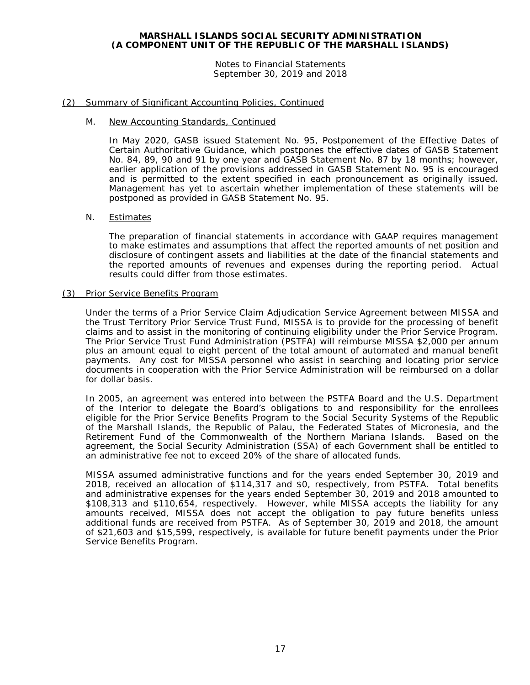Notes to Financial Statements September 30, 2019 and 2018

## (2) Summary of Significant Accounting Policies, Continued

#### M. New Accounting Standards, Continued

In May 2020, GASB issued Statement No. 95, *Postponement of the Effective Dates of Certain Authoritative Guidance*, which postpones the effective dates of GASB Statement No. 84, 89, 90 and 91 by one year and GASB Statement No. 87 by 18 months; however, earlier application of the provisions addressed in GASB Statement No. 95 is encouraged and is permitted to the extent specified in each pronouncement as originally issued. Management has yet to ascertain whether implementation of these statements will be postponed as provided in GASB Statement No. 95.

#### N. Estimates

The preparation of financial statements in accordance with GAAP requires management to make estimates and assumptions that affect the reported amounts of net position and disclosure of contingent assets and liabilities at the date of the financial statements and the reported amounts of revenues and expenses during the reporting period. Actual results could differ from those estimates.

#### (3) Prior Service Benefits Program

Under the terms of a Prior Service Claim Adjudication Service Agreement between MISSA and the Trust Territory Prior Service Trust Fund, MISSA is to provide for the processing of benefit claims and to assist in the monitoring of continuing eligibility under the Prior Service Program. The Prior Service Trust Fund Administration (PSTFA) will reimburse MISSA \$2,000 per annum plus an amount equal to eight percent of the total amount of automated and manual benefit payments. Any cost for MISSA personnel who assist in searching and locating prior service documents in cooperation with the Prior Service Administration will be reimbursed on a dollar for dollar basis.

In 2005, an agreement was entered into between the PSTFA Board and the U.S. Department of the Interior to delegate the Board's obligations to and responsibility for the enrollees eligible for the Prior Service Benefits Program to the Social Security Systems of the Republic of the Marshall Islands, the Republic of Palau, the Federated States of Micronesia, and the Retirement Fund of the Commonwealth of the Northern Mariana Islands. Based on the agreement, the Social Security Administration (SSA) of each Government shall be entitled to an administrative fee not to exceed 20% of the share of allocated funds.

MISSA assumed administrative functions and for the years ended September 30, 2019 and 2018, received an allocation of \$114,317 and \$0, respectively, from PSTFA. Total benefits and administrative expenses for the years ended September 30, 2019 and 2018 amounted to \$108,313 and \$110,654, respectively. However, while MISSA accepts the liability for any amounts received, MISSA does not accept the obligation to pay future benefits unless additional funds are received from PSTFA. As of September 30, 2019 and 2018, the amount of \$21,603 and \$15,599, respectively, is available for future benefit payments under the Prior Service Benefits Program.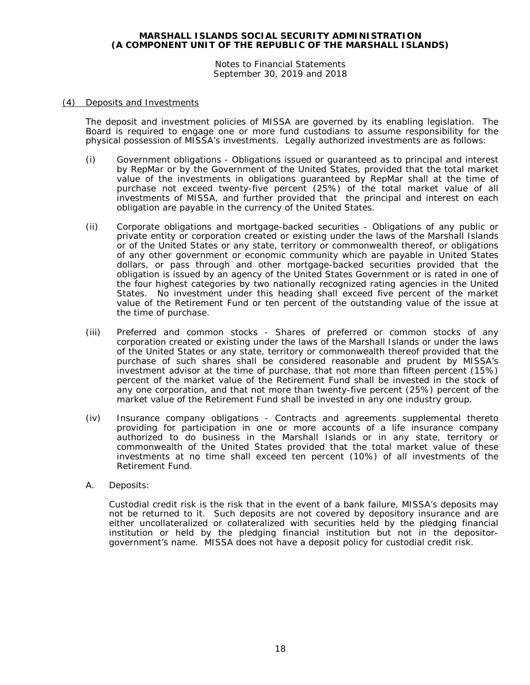Notes to Financial Statements September 30, 2019 and 2018

## (4) Deposits and Investments

The deposit and investment policies of MISSA are governed by its enabling legislation. The Board is required to engage one or more fund custodians to assume responsibility for the physical possession of MISSA's investments. Legally authorized investments are as follows:

- (i) Government obligations Obligations issued or guaranteed as to principal and interest by RepMar or by the Government of the United States, provided that the total market value of the investments in obligations guaranteed by RepMar shall at the time of purchase not exceed twenty-five percent (25%) of the total market value of all investments of MISSA, and further provided that the principal and interest on each obligation are payable in the currency of the United States.
- (ii) Corporate obligations and mortgage-backed securities Obligations of any public or private entity or corporation created or existing under the laws of the Marshall Islands or of the United States or any state, territory or commonwealth thereof, or obligations of any other government or economic community which are payable in United States dollars, or pass through and other mortgage-backed securities provided that the obligation is issued by an agency of the United States Government or is rated in one of the four highest categories by two nationally recognized rating agencies in the United States. No investment under this heading shall exceed five percent of the market value of the Retirement Fund or ten percent of the outstanding value of the issue at the time of purchase.
- (iii) Preferred and common stocks Shares of preferred or common stocks of any corporation created or existing under the laws of the Marshall Islands or under the laws of the United States or any state, territory or commonwealth thereof provided that the purchase of such shares shall be considered reasonable and prudent by MISSA's investment advisor at the time of purchase, that not more than fifteen percent (15%) percent of the market value of the Retirement Fund shall be invested in the stock of any one corporation, and that not more than twenty-five percent (25%) percent of the market value of the Retirement Fund shall be invested in any one industry group.
- (iv) Insurance company obligations Contracts and agreements supplemental thereto providing for participation in one or more accounts of a life insurance company authorized to do business in the Marshall Islands or in any state, territory or commonwealth of the United States provided that the total market value of these investments at no time shall exceed ten percent (10%) of all investments of the Retirement Fund.
- A. Deposits:

Custodial credit risk is the risk that in the event of a bank failure, MISSA's deposits may not be returned to it. Such deposits are not covered by depository insurance and are either uncollateralized or collateralized with securities held by the pledging financial institution or held by the pledging financial institution but not in the depositorgovernment's name. MISSA does not have a deposit policy for custodial credit risk.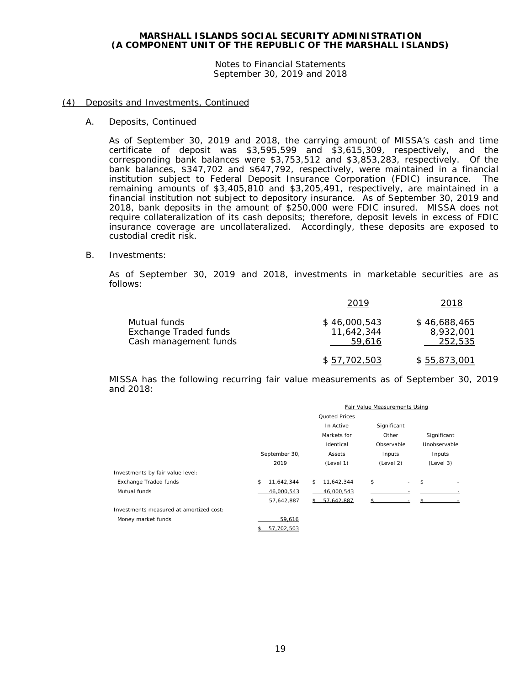Notes to Financial Statements September 30, 2019 and 2018

## (4) Deposits and Investments, Continued

A. Deposits, Continued

As of September 30, 2019 and 2018, the carrying amount of MISSA's cash and time certificate of deposit was \$3,595,599 and \$3,615,309, respectively, and the corresponding bank balances were \$3,753,512 and \$3,853,283, respectively. Of the bank balances, \$347,702 and \$647,792, respectively, were maintained in a financial institution subject to Federal Deposit Insurance Corporation (FDIC) insurance. The remaining amounts of \$3,405,810 and \$3,205,491, respectively, are maintained in a financial institution not subject to depository insurance. As of September 30, 2019 and 2018, bank deposits in the amount of \$250,000 were FDIC insured. MISSA does not require collateralization of its cash deposits; therefore, deposit levels in excess of FDIC insurance coverage are uncollateralized. Accordingly, these deposits are exposed to custodial credit risk.

B. Investments:

As of September 30, 2019 and 2018, investments in marketable securities are as follows:

|                                                                       | 2019                                 | 2018                                 |
|-----------------------------------------------------------------------|--------------------------------------|--------------------------------------|
| Mutual funds<br><b>Exchange Traded funds</b><br>Cash management funds | \$46.000.543<br>11,642,344<br>59.616 | \$46,688,465<br>8,932,001<br>252,535 |
|                                                                       | \$57,702,503                         | \$55,873,001                         |

MISSA has the following recurring fair value measurements as of September 30, 2019 and 2018:

|                                         |                  | Fair Value Measurements Using |             |              |
|-----------------------------------------|------------------|-------------------------------|-------------|--------------|
|                                         |                  | <b>Quoted Prices</b>          |             |              |
|                                         |                  | In Active                     | Significant |              |
|                                         |                  | Markets for                   | Other       | Significant  |
|                                         |                  | Identical                     | Observable  | Unobservable |
|                                         | September 30,    | Assets<br>Inputs              |             | Inputs       |
|                                         | 2019             | (Level 1)                     | (Level 2)   | (Level 3)    |
| Investments by fair value level:        |                  |                               |             |              |
| Exchange Traded funds                   | 11,642,344<br>\$ | 11,642,344<br>\$              | \$<br>۰     | \$           |
| Mutual funds                            | 46,000,543       | 46,000,543                    |             |              |
|                                         | 57,642,887       | 57.642.887<br>S.              |             |              |
| Investments measured at amortized cost: |                  |                               |             |              |
| Money market funds                      | 59,616           |                               |             |              |
|                                         | 57.702.503       |                               |             |              |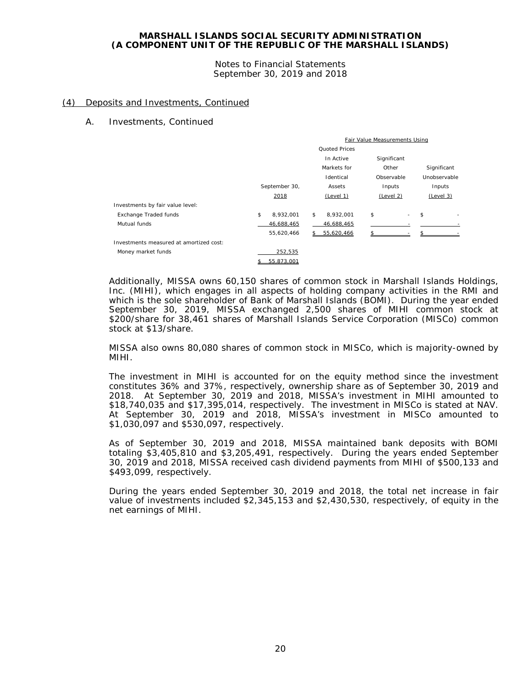Notes to Financial Statements September 30, 2019 and 2018

## (4) Deposits and Investments, Continued

## A. Investments, Continued

|                                         |                 |    | Fair Value Measurements Using |    |             |    |              |
|-----------------------------------------|-----------------|----|-------------------------------|----|-------------|----|--------------|
|                                         |                 |    | <b>Quoted Prices</b>          |    |             |    |              |
|                                         |                 |    | In Active                     |    | Significant |    |              |
|                                         |                 |    | Markets for                   |    | Other       |    | Significant  |
|                                         |                 |    | Identical                     |    | Observable  |    | Unobservable |
|                                         | September 30,   |    | Assets                        |    | Inputs      |    | Inputs       |
|                                         | 2018            |    | (Level 1)                     |    | (Level 2)   |    | (Level 3)    |
| Investments by fair value level:        |                 |    |                               |    |             |    |              |
| Exchange Traded funds                   | \$<br>8,932,001 | \$ | 8,932,001                     | \$ | ٠           | \$ |              |
| Mutual funds                            | 46,688,465      |    | 46,688,465                    |    |             |    |              |
|                                         | 55,620,466      | S. | 55,620,466                    |    |             |    |              |
| Investments measured at amortized cost: |                 |    |                               |    |             |    |              |
| Money market funds                      | 252,535         |    |                               |    |             |    |              |
|                                         | 55.873.001      |    |                               |    |             |    |              |

Additionally, MISSA owns 60,150 shares of common stock in Marshall Islands Holdings, Inc. (MIHI), which engages in all aspects of holding company activities in the RMI and which is the sole shareholder of Bank of Marshall Islands (BOMI). During the year ended September 30, 2019, MISSA exchanged 2,500 shares of MIHI common stock at \$200/share for 38,461 shares of Marshall Islands Service Corporation (MISCo) common stock at \$13/share.

MISSA also owns 80,080 shares of common stock in MISCo, which is majority-owned by MIHI.

The investment in MIHI is accounted for on the equity method since the investment constitutes 36% and 37%, respectively, ownership share as of September 30, 2019 and 2018. At September 30, 2019 and 2018, MISSA's investment in MIHI amounted to \$18,740,035 and \$17,395,014, respectively. The investment in MISCo is stated at NAV. At September 30, 2019 and 2018, MISSA's investment in MISCo amounted to \$1,030,097 and \$530,097, respectively.

As of September 30, 2019 and 2018, MISSA maintained bank deposits with BOMI totaling \$3,405,810 and \$3,205,491, respectively. During the years ended September 30, 2019 and 2018, MISSA received cash dividend payments from MIHI of \$500,133 and \$493,099, respectively.

During the years ended September 30, 2019 and 2018, the total net increase in fair value of investments included \$2,345,153 and \$2,430,530, respectively, of equity in the net earnings of MIHI.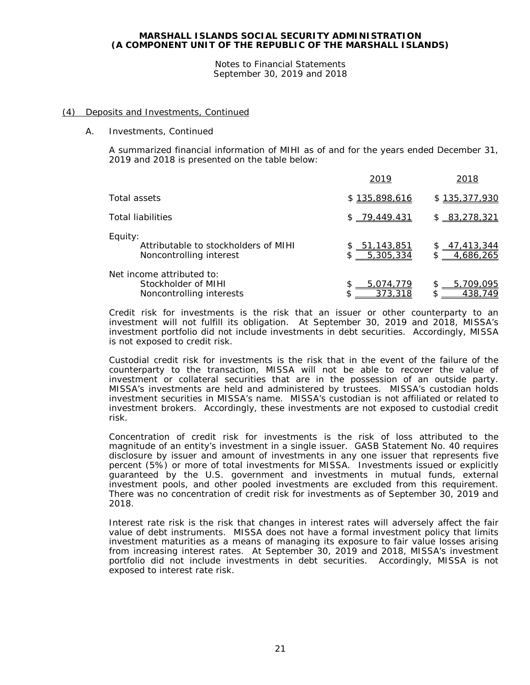Notes to Financial Statements September 30, 2019 and 2018

## (4) Deposits and Investments, Continued

## A. Investments, Continued

A summarized financial information of MIHI as of and for the years ended December 31, 2019 and 2018 is presented on the table below:

|                                                                              | 2019                           | 2018                          |
|------------------------------------------------------------------------------|--------------------------------|-------------------------------|
| Total assets                                                                 | \$135,898,616                  | \$135,377,930                 |
| <b>Total liabilities</b>                                                     | \$ 79,449.431                  | \$83,278,321                  |
| Equity:<br>Attributable to stockholders of MIHI<br>Noncontrolling interest   | 51,143,851<br>5,305,334<br>\$. | 47,413,344<br>4.686.265<br>\$ |
| Net income attributed to:<br>Stockholder of MIHI<br>Noncontrolling interests | \$<br>5.074.779<br>\$          | 5,709,095<br>\$               |

Credit risk for investments is the risk that an issuer or other counterparty to an investment will not fulfill its obligation. At September 30, 2019 and 2018, MISSA's investment portfolio did not include investments in debt securities. Accordingly, MISSA is not exposed to credit risk.

Custodial credit risk for investments is the risk that in the event of the failure of the counterparty to the transaction, MISSA will not be able to recover the value of investment or collateral securities that are in the possession of an outside party. MISSA's investments are held and administered by trustees. MISSA's custodian holds investment securities in MISSA's name. MISSA's custodian is not affiliated or related to investment brokers. Accordingly, these investments are not exposed to custodial credit risk.

Concentration of credit risk for investments is the risk of loss attributed to the magnitude of an entity's investment in a single issuer. GASB Statement No. 40 requires disclosure by issuer and amount of investments in any one issuer that represents five percent (5%) or more of total investments for MISSA. Investments issued or explicitly guaranteed by the U.S. government and investments in mutual funds, external investment pools, and other pooled investments are excluded from this requirement. There was no concentration of credit risk for investments as of September 30, 2019 and 2018.

Interest rate risk is the risk that changes in interest rates will adversely affect the fair value of debt instruments. MISSA does not have a formal investment policy that limits investment maturities as a means of managing its exposure to fair value losses arising from increasing interest rates. At September 30, 2019 and 2018, MISSA's investment portfolio did not include investments in debt securities. Accordingly, MISSA is not exposed to interest rate risk.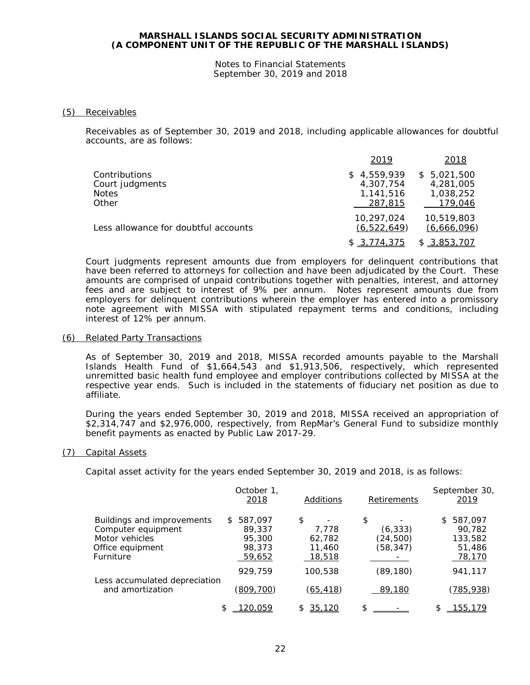Notes to Financial Statements September 30, 2019 and 2018

#### (5) Receivables

Receivables as of September 30, 2019 and 2018, including applicable allowances for doubtful accounts, are as follows:

|                                                           | 2019                                             | 2018                                             |
|-----------------------------------------------------------|--------------------------------------------------|--------------------------------------------------|
| Contributions<br>Court judgments<br><b>Notes</b><br>Other | \$4,559,939<br>4,307,754<br>1,141,516<br>287.815 | \$5,021,500<br>4,281,005<br>1,038,252<br>179,046 |
| Less allowance for doubtful accounts                      | 10,297,024<br>(6, 522, 649)<br>\$3.774.375       | 10,519,803<br>(6,666,096)<br>\$3,853,707         |

Court judgments represent amounts due from employers for delinquent contributions that have been referred to attorneys for collection and have been adjudicated by the Court. These amounts are comprised of unpaid contributions together with penalties, interest, and attorney fees and are subject to interest of 9% per annum. Notes represent amounts due from employers for delinquent contributions wherein the employer has entered into a promissory note agreement with MISSA with stipulated repayment terms and conditions, including interest of 12% per annum.

## (6) Related Party Transactions

As of September 30, 2019 and 2018, MISSA recorded amounts payable to the Marshall Islands Health Fund of \$1,664,543 and \$1,913,506, respectively, which represented unremitted basic health fund employee and employer contributions collected by MISSA at the respective year ends. Such is included in the statements of fiduciary net position as due to affiliate.

During the years ended September 30, 2019 and 2018, MISSA received an appropriation of \$2,314,747 and \$2,976,000, respectively, from RepMar's General Fund to subsidize monthly benefit payments as enacted by Public Law 2017-29.

#### (7) Capital Assets

Capital asset activity for the years ended September 30, 2019 and 2018, is as follows:

|                                                                                                     | October 1,<br>2018                                     | Additions                                 | Retirements                              | September 30,<br>2019                                         |  |
|-----------------------------------------------------------------------------------------------------|--------------------------------------------------------|-------------------------------------------|------------------------------------------|---------------------------------------------------------------|--|
| Buildings and improvements<br>Computer equipment<br>Motor vehicles<br>Office equipment<br>Furniture | 587.097<br>\$.<br>89,337<br>95,300<br>98,373<br>59,652 | \$<br>7.778<br>62,782<br>11,460<br>18,518 | \$<br>(6, 333)<br>(24, 500)<br>(58, 347) | 587,097<br>\$<br>90.782<br>133,582<br>51,486<br><u>78,170</u> |  |
| Less accumulated depreciation<br>and amortization                                                   | 929.759<br>(809,700)                                   | 100,538<br>(65, 418)                      | (89, 180)<br>89,180                      | 941,117<br>(785, 938)                                         |  |
|                                                                                                     | 20.059                                                 | 35,120                                    | \$                                       | 155.1<br>\$                                                   |  |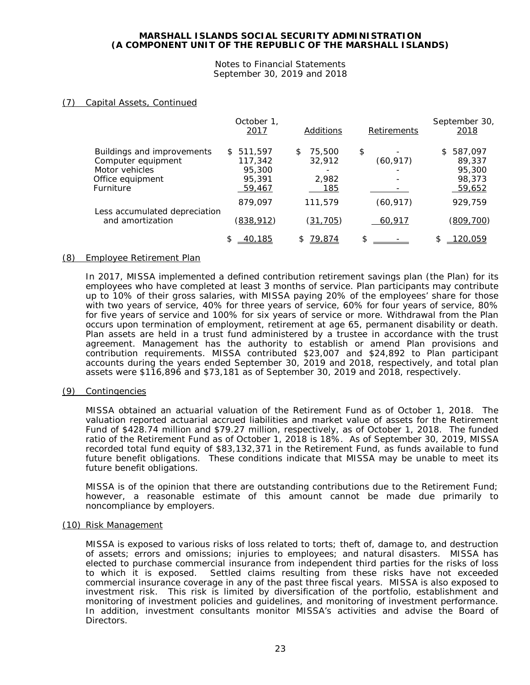Notes to Financial Statements September 30, 2019 and 2018

## (7) Capital Assets, Continued

|                                                                                                     | October 1,<br>2017                                     | Additions                              | Retirements         | September 30,<br>2018                                 |  |
|-----------------------------------------------------------------------------------------------------|--------------------------------------------------------|----------------------------------------|---------------------|-------------------------------------------------------|--|
| Buildings and improvements<br>Computer equipment<br>Motor vehicles<br>Office equipment<br>Furniture | 511,597<br>\$<br>117,342<br>95,300<br>95,391<br>59,467 | 75,500<br>\$<br>32,912<br>2,982<br>185 | \$<br>(60, 917)     | 587,097<br>\$<br>89,337<br>95,300<br>98,373<br>59,652 |  |
| Less accumulated depreciation<br>and amortization                                                   | 879.097<br><u>(838,912)</u>                            | 111,579<br>(31,705)                    | (60, 917)<br>60,917 | 929.759<br>(809,700)                                  |  |
|                                                                                                     | 40,185                                                 | 79.874                                 | \$                  | \$<br>120.059                                         |  |

#### (8) Employee Retirement Plan

In 2017, MISSA implemented a defined contribution retirement savings plan (the Plan) for its employees who have completed at least 3 months of service. Plan participants may contribute up to 10% of their gross salaries, with MISSA paying 20% of the employees' share for those with two years of service, 40% for three years of service, 60% for four years of service, 80% for five years of service and 100% for six years of service or more. Withdrawal from the Plan occurs upon termination of employment, retirement at age 65, permanent disability or death. Plan assets are held in a trust fund administered by a trustee in accordance with the trust agreement. Management has the authority to establish or amend Plan provisions and contribution requirements. MISSA contributed \$23,007 and \$24,892 to Plan participant accounts during the years ended September 30, 2019 and 2018, respectively, and total plan assets were \$116,896 and \$73,181 as of September 30, 2019 and 2018, respectively.

## (9) Contingencies

MISSA obtained an actuarial valuation of the Retirement Fund as of October 1, 2018. The valuation reported actuarial accrued liabilities and market value of assets for the Retirement Fund of \$428.74 million and \$79.27 million, respectively, as of October 1, 2018. The funded ratio of the Retirement Fund as of October 1, 2018 is 18%. As of September 30, 2019, MISSA recorded total fund equity of \$83,132,371 in the Retirement Fund, as funds available to fund future benefit obligations. These conditions indicate that MISSA may be unable to meet its future benefit obligations.

MISSA is of the opinion that there are outstanding contributions due to the Retirement Fund; however, a reasonable estimate of this amount cannot be made due primarily to noncompliance by employers.

#### (10) Risk Management

MISSA is exposed to various risks of loss related to torts; theft of, damage to, and destruction of assets; errors and omissions; injuries to employees; and natural disasters. MISSA has elected to purchase commercial insurance from independent third parties for the risks of loss to which it is exposed. Settled claims resulting from these risks have not exceeded commercial insurance coverage in any of the past three fiscal years. MISSA is also exposed to investment risk. This risk is limited by diversification of the portfolio, establishment and monitoring of investment policies and guidelines, and monitoring of investment performance. In addition, investment consultants monitor MISSA's activities and advise the Board of **Directors**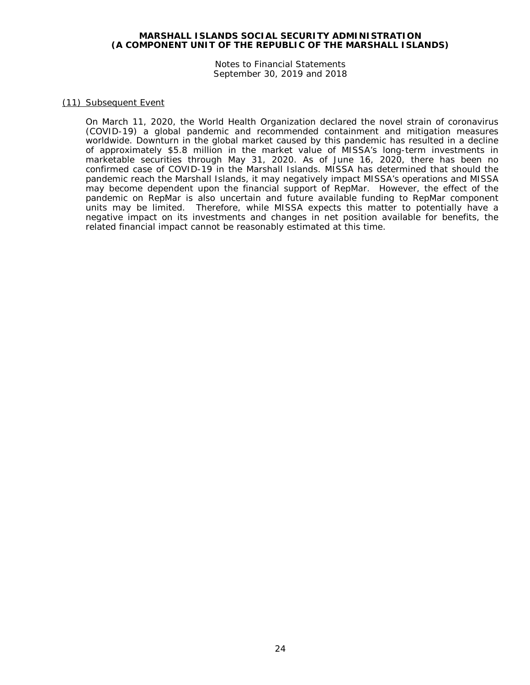Notes to Financial Statements September 30, 2019 and 2018

#### (11) Subsequent Event

On March 11, 2020, the World Health Organization declared the novel strain of coronavirus (COVID-19) a global pandemic and recommended containment and mitigation measures worldwide. Downturn in the global market caused by this pandemic has resulted in a decline of approximately \$5.8 million in the market value of MISSA's long-term investments in marketable securities through May 31, 2020. As of June 16, 2020, there has been no confirmed case of COVID-19 in the Marshall Islands. MISSA has determined that should the pandemic reach the Marshall Islands, it may negatively impact MISSA's operations and MISSA may become dependent upon the financial support of RepMar. However, the effect of the pandemic on RepMar is also uncertain and future available funding to RepMar component units may be limited. Therefore, while MISSA expects this matter to potentially have a negative impact on its investments and changes in net position available for benefits, the related financial impact cannot be reasonably estimated at this time.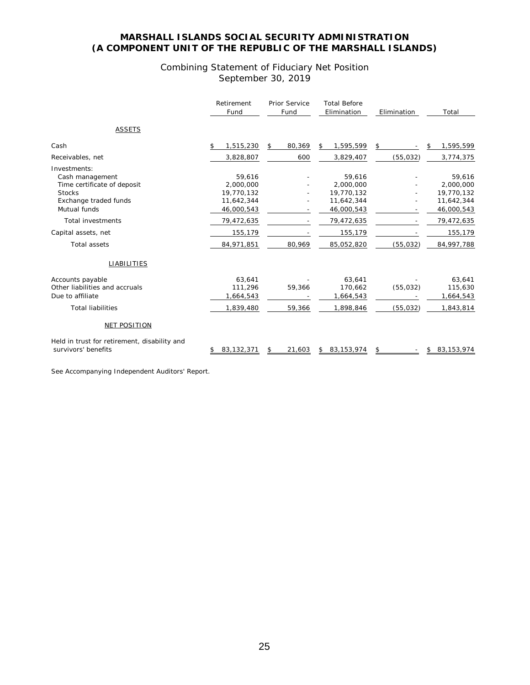# Combining Statement of Fiduciary Net Position September 30, 2019

|                                                                                                                                                                                                    | Retirement<br>Fund                                                                                   | <b>Prior Service</b><br>Fund | <b>Total Before</b><br>Elimination                                                                   | Elimination            | Total                                                                                                |
|----------------------------------------------------------------------------------------------------------------------------------------------------------------------------------------------------|------------------------------------------------------------------------------------------------------|------------------------------|------------------------------------------------------------------------------------------------------|------------------------|------------------------------------------------------------------------------------------------------|
| <b>ASSETS</b>                                                                                                                                                                                      |                                                                                                      |                              |                                                                                                      |                        |                                                                                                      |
| Cash                                                                                                                                                                                               | \$<br>1,515,230                                                                                      | 80,369<br>\$                 | 1,595,599<br>\$                                                                                      | \$                     | 1,595,599<br>\$                                                                                      |
| Receivables, net                                                                                                                                                                                   | 3,828,807                                                                                            | 600                          | 3,829,407                                                                                            | (55, 032)              | 3,774,375                                                                                            |
| Investments:<br>Cash management<br>Time certificate of deposit<br><b>Stocks</b><br>Exchange traded funds<br>Mutual funds<br><b>Total investments</b><br>Capital assets, net<br><b>Total assets</b> | 59,616<br>2,000,000<br>19,770,132<br>11,642,344<br>46,000,543<br>79,472,635<br>155,179<br>84,971,851 | 80,969                       | 59,616<br>2,000,000<br>19,770,132<br>11,642,344<br>46,000,543<br>79,472,635<br>155,179<br>85,052,820 | (55, 032)              | 59,616<br>2,000,000<br>19,770,132<br>11,642,344<br>46,000,543<br>79,472,635<br>155,179<br>84,997,788 |
| LIABILITIES                                                                                                                                                                                        |                                                                                                      |                              |                                                                                                      |                        |                                                                                                      |
| Accounts payable<br>Other liabilities and accruals<br>Due to affiliate<br><b>Total liabilities</b>                                                                                                 | 63,641<br>111,296<br>1,664,543<br>1,839,480                                                          | 59,366<br>59,366             | 63.641<br>170.662<br>1,664,543<br>1,898,846                                                          | (55, 032)<br>(55, 032) | 63,641<br>115,630<br>1,664,543<br>1,843,814                                                          |
| <b>NET POSITION</b>                                                                                                                                                                                |                                                                                                      |                              |                                                                                                      |                        |                                                                                                      |
| Held in trust for retirement, disability and<br>survivors' benefits                                                                                                                                | 83,132,371<br>\$                                                                                     | 21,603<br>\$                 | 83,153,974<br>\$                                                                                     | \$                     | 83,153,974<br>\$                                                                                     |

See Accompanying Independent Auditors' Report.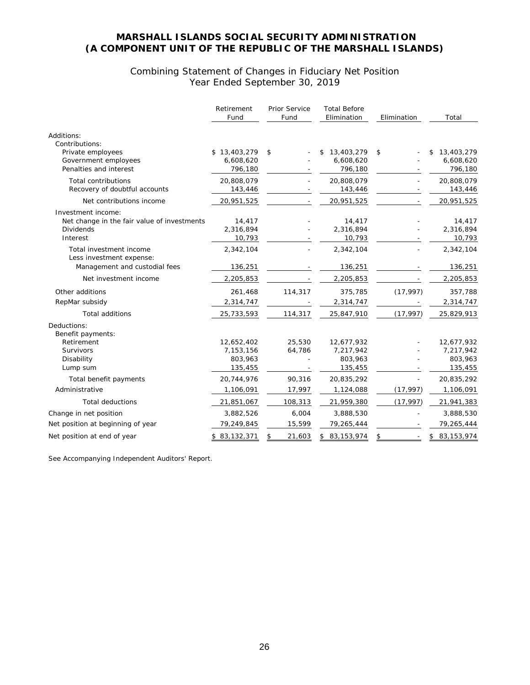# Combining Statement of Changes in Fiduciary Net Position Year Ended September 30, 2019

|                                                             | Retirement<br>Fund    | Prior Service<br>Fund | <b>Total Before</b><br>Elimination | Elimination | Total                 |
|-------------------------------------------------------------|-----------------------|-----------------------|------------------------------------|-------------|-----------------------|
| Additions:<br>Contributions:                                |                       |                       |                                    |             |                       |
| Private employees                                           | \$13,403,279          | \$                    | 13,403,279<br>\$                   | \$          | 13,403,279<br>\$      |
| Government employees<br>Penalties and interest              | 6,608,620<br>796,180  |                       | 6,608,620<br>796,180               |             | 6,608,620<br>796,180  |
| <b>Total contributions</b><br>Recovery of doubtful accounts | 20,808,079<br>143,446 |                       | 20,808,079<br>143,446              |             | 20,808,079<br>143,446 |
| Net contributions income                                    | 20,951,525            |                       | 20,951,525                         |             | 20,951,525            |
| Investment income:                                          |                       |                       |                                    |             |                       |
| Net change in the fair value of investments                 | 14,417                |                       | 14,417                             |             | 14,417                |
| <b>Dividends</b>                                            | 2,316,894             |                       | 2,316,894                          |             | 2,316,894             |
| Interest                                                    | 10,793                |                       | 10,793                             |             | 10,793                |
| Total investment income<br>Less investment expense:         | 2,342,104             |                       | 2,342,104                          |             | 2,342,104             |
| Management and custodial fees                               | 136,251               |                       | 136,251                            |             | 136,251               |
| Net investment income                                       | 2,205,853             |                       | 2,205,853                          |             | 2,205,853             |
| Other additions                                             | 261,468               | 114,317               | 375,785                            | (17, 997)   | 357,788               |
| RepMar subsidy                                              | 2,314,747             |                       | 2,314,747                          |             | 2,314,747             |
| <b>Total additions</b>                                      | 25,733,593            | 114,317               | 25,847,910                         | (17, 997)   | 25,829,913            |
| Deductions:                                                 |                       |                       |                                    |             |                       |
| Benefit payments:                                           |                       |                       |                                    |             |                       |
| Retirement                                                  | 12,652,402            | 25,530                | 12,677,932                         |             | 12,677,932            |
| Survivors                                                   | 7,153,156             | 64,786                | 7,217,942                          |             | 7,217,942             |
| Disability<br>Lump sum                                      | 803,963<br>135,455    |                       | 803,963<br>135,455                 |             | 803,963<br>135,455    |
| Total benefit payments                                      | 20,744,976            | 90,316                | 20,835,292                         |             | 20,835,292            |
| Administrative                                              | 1,106,091             | 17,997                | 1,124,088                          | (17, 997)   | 1,106,091             |
| <b>Total deductions</b>                                     | 21,851,067            | 108,313               | 21,959,380                         | (17, 997)   | 21,941,383            |
| Change in net position                                      |                       | 6,004                 |                                    |             |                       |
|                                                             | 3,882,526             |                       | 3,888,530                          |             | 3,888,530             |
| Net position at beginning of year                           | 79,249,845            | 15,599                | 79,265,444                         |             | 79,265,444            |
| Net position at end of year                                 | \$83,132,371          | 21,603<br>\$          | \$<br>83, 153, 974                 | \$          | 83, 153, 974<br>\$    |

See Accompanying Independent Auditors' Report.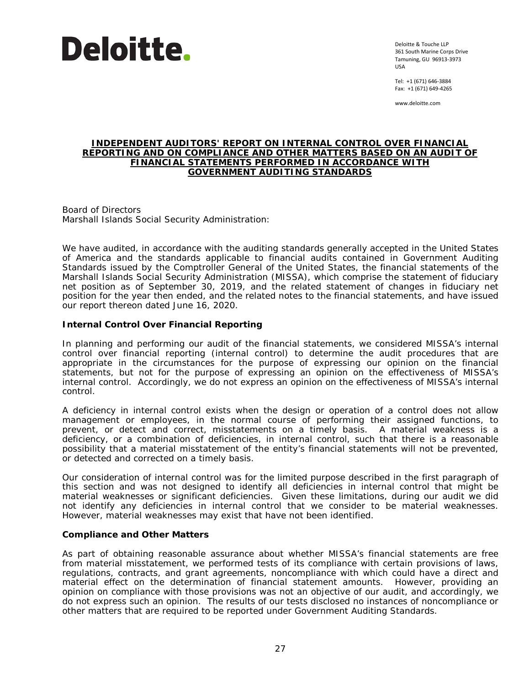

Deloitte & Touche LLP 361 South Marine Corps Drive Tamuning, GU 96913-3973 USA

Tel: +1 (671) 646-3884 Fax: +1 (671) 649-4265

www.deloitte.com

#### **INDEPENDENT AUDITORS' REPORT ON INTERNAL CONTROL OVER FINANCIAL REPORTING AND ON COMPLIANCE AND OTHER MATTERS BASED ON AN AUDIT OF FINANCIAL STATEMENTS PERFORMED IN ACCORDANCE WITH**  *GOVERNMENT AUDITING STANDARDS*

Board of Directors Marshall Islands Social Security Administration:

We have audited, in accordance with the auditing standards generally accepted in the United States of America and the standards applicable to financial audits contained in *Government Auditing Standards* issued by the Comptroller General of the United States, the financial statements of the Marshall Islands Social Security Administration (MISSA), which comprise the statement of fiduciary net position as of September 30, 2019, and the related statement of changes in fiduciary net position for the year then ended, and the related notes to the financial statements, and have issued our report thereon dated June 16, 2020.

# **Internal Control Over Financial Reporting**

In planning and performing our audit of the financial statements, we considered MISSA's internal control over financial reporting (internal control) to determine the audit procedures that are appropriate in the circumstances for the purpose of expressing our opinion on the financial statements, but not for the purpose of expressing an opinion on the effectiveness of MISSA's internal control. Accordingly, we do not express an opinion on the effectiveness of MISSA's internal control.

A *deficiency in internal control* exists when the design or operation of a control does not allow management or employees, in the normal course of performing their assigned functions, to prevent, or detect and correct, misstatements on a timely basis. A *material weakness* is a deficiency, or a combination of deficiencies, in internal control, such that there is a reasonable possibility that a material misstatement of the entity's financial statements will not be prevented, or detected and corrected on a timely basis.

Our consideration of internal control was for the limited purpose described in the first paragraph of this section and was not designed to identify all deficiencies in internal control that might be material weaknesses or significant deficiencies. Given these limitations, during our audit we did not identify any deficiencies in internal control that we consider to be material weaknesses. However, material weaknesses may exist that have not been identified.

## **Compliance and Other Matters**

As part of obtaining reasonable assurance about whether MISSA's financial statements are free from material misstatement, we performed tests of its compliance with certain provisions of laws, regulations, contracts, and grant agreements, noncompliance with which could have a direct and material effect on the determination of financial statement amounts. However, providing an opinion on compliance with those provisions was not an objective of our audit, and accordingly, we do not express such an opinion. The results of our tests disclosed no instances of noncompliance or other matters that are required to be reported under *Government Auditing Standards*.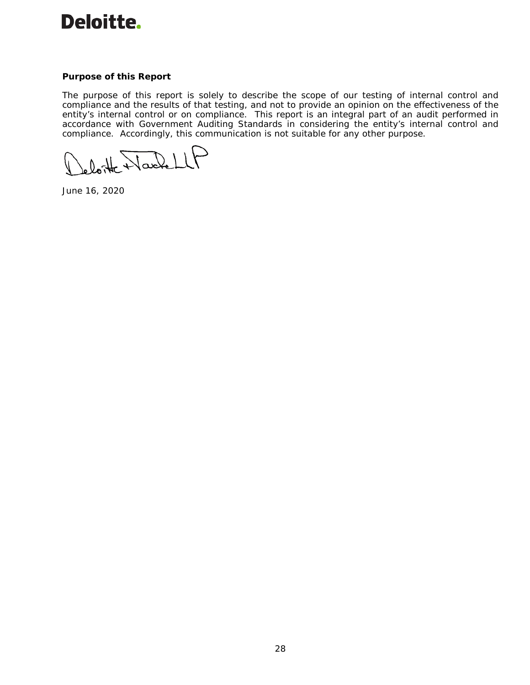

## **Purpose of this Report**

The purpose of this report is solely to describe the scope of our testing of internal control and compliance and the results of that testing, and not to provide an opinion on the effectiveness of the entity's internal control or on compliance. This report is an integral part of an audit performed in accordance with *Government Auditing Standards* in considering the entity's internal control and compliance. Accordingly, this communication is not suitable for any other purpose.

loite Wackell

June 16, 2020